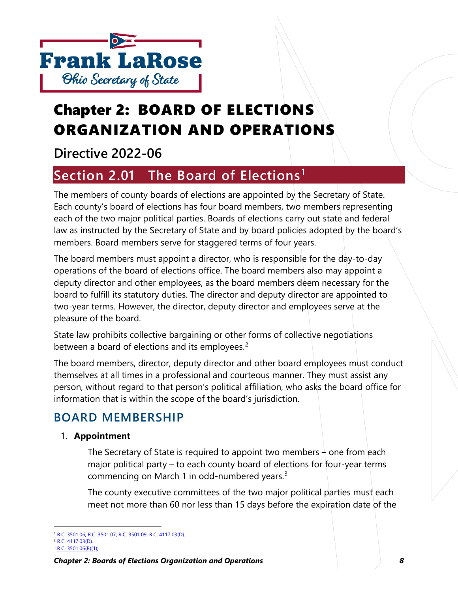

# Chapter 2: BOARD OF ELECTIONS ORGANIZATION AND OPERATIONS

# **Directive 2022-06**

# **Section 2.01 The Board of Elections[1](#page-0-0)**

The members of county boards of elections are appointed by the Secretary of State. Each county's board of elections has four board members, two members representing each of the two major political parties. Boards of elections carry out state and federal law as instructed by the Secretary of State and by board policies adopted by the board's members. Board members serve for staggered terms of four years.

The board members must appoint a director, who is responsible for the day-to-day operations of the board of elections office. The board members also may appoint a deputy director and other employees, as the board members deem necessary for the board to fulfill its statutory duties. The director and deputy director are appointed to two-year terms. However, the director, deputy director and employees serve at the pleasure of the board.

State law prohibits collective bargaining or other forms of collective negotiations between a board of elections and its employees.<sup>[2](#page-0-1)</sup>

The board members, director, deputy director and other board employees must conduct themselves at all times in a professional and courteous manner. They must assist any person, without regard to that person's political affiliation, who asks the board office for information that is within the scope of the board's jurisdiction.

## **BOARD MEMBERSHIP**

## 1. **Appointment**

The Secretary of State is required to appoint two members  $\frac{1}{2}$  one from each major political party – to each county board of elections for four-year terms commencing on March 1 in odd-numbered years.<sup>[3](#page-0-2)</sup>

The county executive committees of the two major political parties must each meet not more than 60 nor less than 15 days before the expiration date of the

<span id="page-0-0"></span><sup>&</sup>lt;sup>1</sup> [R.C. 3501.06;](http://codes.ohio.gov/orc/3501.06) [R.C. 3501.07;](http://codes.ohio.gov/orc/3501.07) [R.C. 3501.09;](http://codes.ohio.gov/orc/3501.09) [R.C. 4117.03\(D\).](http://codes.ohio.gov/orc/4117.03)

<span id="page-0-1"></span><sup>2</sup> [R.C. 4117.03\(D\).](http://codes.ohio.gov/orc/4117.03)

<span id="page-0-2"></span><sup>3</sup> [R.C. 3501.06\(B\)\(1\);](http://codes.ohio.gov/orc/3501.06)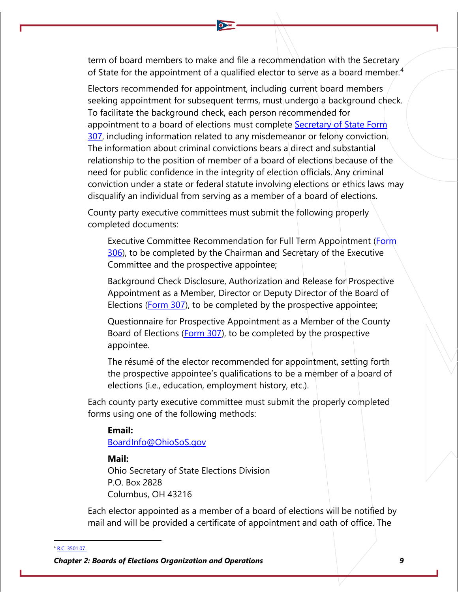term of board members to make and file a recommendation with the Secretary of State for the appointment of a qualified elector to serve as a board member.<sup>[4](#page-1-0)</sup>

Electors recommended for appointment, including current board members seeking appointment for subsequent terms, must undergo a background check. To facilitate the background check, each person recommended for appointment to a board of elections must complete [Secretary of State Form](https://www.ohiosos.gov/globalassets/elections/forms/307.pdf)  **307**, including information related to any misdemeanor or felony conviction. The information about criminal convictions bears a direct and substantial relationship to the position of member of a board of elections because of the need for public confidence in the integrity of election officials. Any criminal conviction under a state or federal statute involving elections or ethics laws may disqualify an individual from serving as a member of a board of elections.

County party executive committees must submit the following properly completed documents:

Executive Committee Recommendation for Full Term Appointment (Form [306\)](https://www.ohiosos.gov/globalassets/elections/forms/306.pdf), to be completed by the Chairman and Secretary of the Executive Committee and the prospective appointee;

Background Check Disclosure, Authorization and Release for Prospective Appointment as a Member, Director or Deputy Director of the Board of Elections [\(Form 307\)](https://www.ohiosos.gov/globalassets/elections/forms/307.pdf), to be completed by the prospective appointee;

Questionnaire for Prospective Appointment as a Member of the County Board of Elections [\(Form 307\)](https://www.ohiosos.gov/globalassets/elections/forms/307.pdf), to be completed by the prospective appointee.

The résumé of the elector recommended for appointment, setting forth the prospective appointee's qualifications to be a member of a board of elections (i.e., education, employment history, etc.).

Each county party executive committee must submit the properly completed forms using one of the following methods:

#### **Email:**

[BoardInfo@OhioSoS.gov](mailto:boardinfo@OhioSoS.gov)

## **Mail:**

Ohio Secretary of State Elections Division P.O. Box 2828 Columbus, OH 43216

Each elector appointed as a member of a board of elections will be notified by mail and will be provided a certificate of appointment and oath of office. The

<span id="page-1-0"></span><sup>4</sup> [R.C. 3501.07.](http://codes.ohio.gov/orc/3501.07)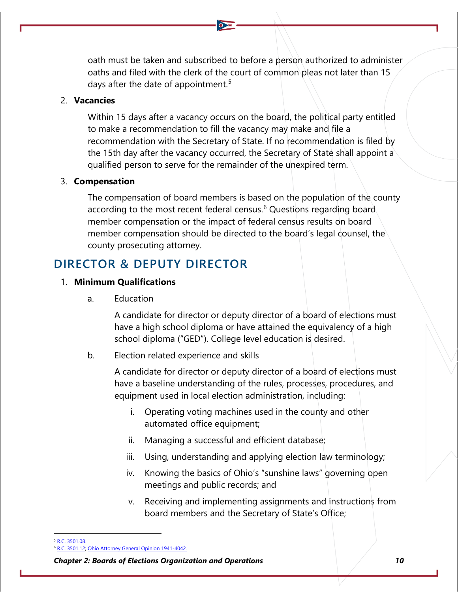oath must be taken and subscribed to before a person authorized to administer oaths and filed with the clerk of the court of common pleas not later than 15 days after the date of appointment.<sup>[5](#page-2-0)</sup>

### 2. **Vacancies**

Within 15 days after a vacancy occurs on the board, the political party entitled to make a recommendation to fill the vacancy may make and file a recommendation with the Secretary of State. If no recommendation is filed by the 15th day after the vacancy occurred, the Secretary of State shall appoint a qualified person to serve for the remainder of the unexpired term.

### 3. **Compensation**

The compensation of board members is based on the population of the county according to the most recent federal census.<sup>[6](#page-2-1)</sup> Questions regarding board member compensation or the impact of federal census results on board member compensation should be directed to the board's legal counsel, the county prosecuting attorney.

## **DIRECTOR & DEPUTY DIRECTOR**

### 1. **Minimum Qualifications**

a. Education

A candidate for director or deputy director of a board of elections must have a high school diploma or have attained the equivalency of a high school diploma ("GED"). College level education is desired.

b. Election related experience and skills

A candidate for director or deputy director of a board of elections must have a baseline understanding of the rules, processes, procedures, and equipment used in local election administration, including:

- i. Operating voting machines used in the county and other automated office equipment;
- ii. Managing a successful and efficient database;
- iii. Using, understanding and applying election law terminology;
- iv. Knowing the basics of Ohio's "sunshine laws" governing open meetings and public records; and
- v. Receiving and implementing assignments and instructions from board members and the Secretary of State's Office;

<span id="page-2-0"></span><sup>5</sup> [R.C. 3501.08.](http://codes.ohio.gov/orc/3501.08)

[R.C. 3501.12;](http://codes.ohio.gov/orc/3501.12) [Ohio Attorney General Opinion 1941-4042.](https://www.ohioattorneygeneral.gov/getattachment/297ddd7f-dd3d-4cf0-9025-79507115c290/1941-4042.aspx)

<span id="page-2-1"></span>*Chapter 2: Boards of Elections Organization and Operations 10*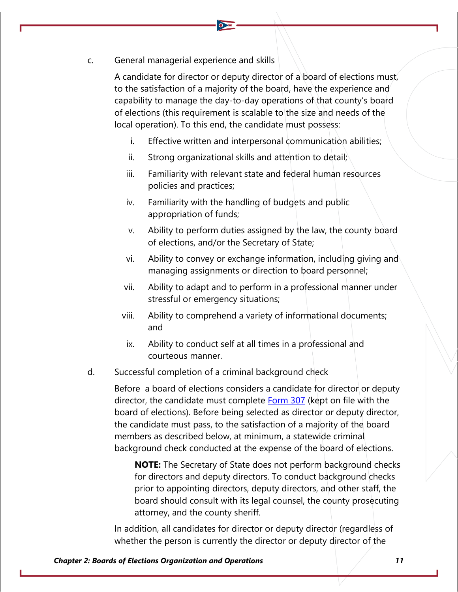c. General managerial experience and skills

A candidate for director or deputy director of a board of elections must, to the satisfaction of a majority of the board, have the experience and capability to manage the day-to-day operations of that county's board of elections (this requirement is scalable to the size and needs of the local operation). To this end, the candidate must possess:

- i. Effective written and interpersonal communication abilities;
- ii. Strong organizational skills and attention to detail;
- iii. Familiarity with relevant state and federal human resources policies and practices;
- iv. Familiarity with the handling of budgets and public appropriation of funds;
- v. Ability to perform duties assigned by the law, the county board of elections, and/or the Secretary of State;
- vi. Ability to convey or exchange information, including giving and managing assignments or direction to board personnel;
- vii. Ability to adapt and to perform in a professional manner under stressful or emergency situations;
- viii. Ability to comprehend a variety of informational documents; and
- ix. Ability to conduct self at all times in a professional and courteous manner.
- d. Successful completion of a criminal background check

Before a board of elections considers a candidate for director or deputy director, the candidate must complete [Form 307](https://www.ohiosos.gov/globalassets/elections/forms/307.pdf) (kept on file with the board of elections). Before being selected as director or deputy director, the candidate must pass, to the satisfaction of a majority of the board members as described below, at minimum, a statewide criminal background check conducted at the expense of the board of elections.

**NOTE:** The Secretary of State does not perform background checks for directors and deputy directors. To conduct background checks prior to appointing directors, deputy directors, and other staff, the board should consult with its legal counsel, the county prosecuting attorney, and the county sheriff.

In addition, all candidates for director or deputy director (regardless of whether the person is currently the director or deputy director of the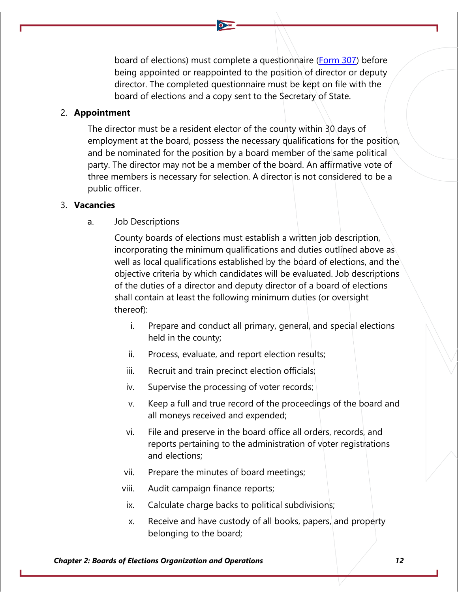board of elections) must complete a questionnaire [\(Form 307\)](https://www.ohiosos.gov/globalassets/elections/forms/307.pdf) before being appointed or reappointed to the position of director or deputy director. The completed questionnaire must be kept on file with the board of elections and a copy sent to the Secretary of State.

### 2. **Appointment**

The director must be a resident elector of the county within 30 days of employment at the board, possess the necessary qualifications for the position, and be nominated for the position by a board member of the same political party. The director may not be a member of the board. An affirmative vote of three members is necessary for selection. A director is not considered to be a public officer.

#### 3. **Vacancies**

a. Job Descriptions

County boards of elections must establish a written job description, incorporating the minimum qualifications and duties outlined above as well as local qualifications established by the board of elections, and the objective criteria by which candidates will be evaluated. Job descriptions of the duties of a director and deputy director of a board of elections shall contain at least the following minimum duties (or oversight thereof):

- i. Prepare and conduct all primary, general, and special elections held in the county;
- ii. Process, evaluate, and report election results;
- iii. Recruit and train precinct election officials;
- iv. Supervise the processing of voter records;
- v. Keep a full and true record of the proceedings of the board and all moneys received and expended;
- vi. File and preserve in the board office all orders, records, and reports pertaining to the administration of voter registrations and elections;
- vii. Prepare the minutes of board meetings;
- viii. Audit campaign finance reports;
	- ix. Calculate charge backs to political subdivisions;
	- x. Receive and have custody of all books, papers, and property belonging to the board;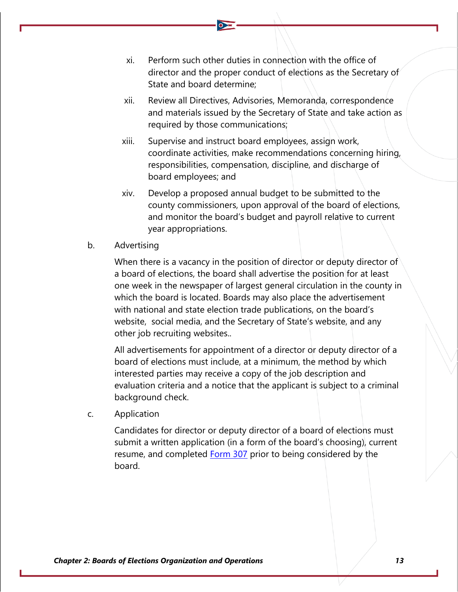- xi. Perform such other duties in connection with the office of director and the proper conduct of elections as the Secretary of State and board determine;
- xii. Review all Directives, Advisories, Memoranda, correspondence and materials issued by the Secretary of State and take action as required by those communications;
- xiii. Supervise and instruct board employees, assign work, coordinate activities, make recommendations concerning hiring, responsibilities, compensation, discipline, and discharge of board employees; and
- xiv. Develop a proposed annual budget to be submitted to the county commissioners, upon approval of the board of elections, and monitor the board's budget and payroll relative to current year appropriations.
- b. Advertising

When there is a vacancy in the position of director or deputy director of a board of elections, the board shall advertise the position for at least one week in the newspaper of largest general circulation in the county in which the board is located. Boards may also place the advertisement with national and state election trade publications, on the board's website, social media, and the Secretary of State's website, and any other job recruiting websites..

All advertisements for appointment of a director or deputy director of a board of elections must include, at a minimum, the method by which interested parties may receive a copy of the job description and evaluation criteria and a notice that the applicant is subject to a criminal background check.

c. Application

Candidates for director or deputy director of a board of elections must submit a written application (in a form of the board's choosing), current resume, and completed [Form 307](https://www.ohiosos.gov/globalassets/elections/forms/307.pdf) prior to being considered by the board.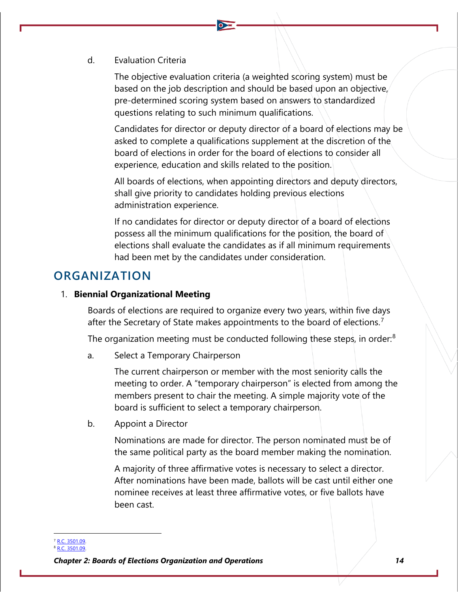d. Evaluation Criteria

The objective evaluation criteria (a weighted scoring system) must be based on the job description and should be based upon an objective, pre-determined scoring system based on answers to standardized questions relating to such minimum qualifications.

Candidates for director or deputy director of a board of elections may be asked to complete a qualifications supplement at the discretion of the board of elections in order for the board of elections to consider all experience, education and skills related to the position.

All boards of elections, when appointing directors and deputy directors, shall give priority to candidates holding previous elections administration experience.

If no candidates for director or deputy director of a board of elections possess all the minimum qualifications for the position, the board of elections shall evaluate the candidates as if all minimum requirements had been met by the candidates under consideration.

## **ORGANIZATION**

### 1. **Biennial Organizational Meeting**

Boards of elections are required to organize every two years, within five days after the Secretary of State makes appointments to the board of elections.<sup>[7](#page-6-0)</sup>

The organization meeting must be conducted following these steps, in order:<sup>[8](#page-6-1)</sup>

a. Select a Temporary Chairperson

The current chairperson or member with the most seniority calls the meeting to order. A "temporary chairperson" is elected from among the members present to chair the meeting. A simple majority vote of the board is sufficient to select a temporary chairperson.

b. Appoint a Director

Nominations are made for director. The person nominated must be of the same political party as the board member making the nomination.

A majority of three affirmative votes is necessary to select a director. After nominations have been made, ballots will be cast until either one nominee receives at least three affirmative votes, or five ballots have been cast.

<span id="page-6-0"></span><sup>7</sup> [R.C. 3501.09.](http://codes.ohio.gov/orc/3501.09)

<sup>8</sup> [R.C. 3501.09.](http://codes.ohio.gov/orc/3501.09)

<span id="page-6-1"></span>*Chapter 2: Boards of Elections Organization and Operations 14*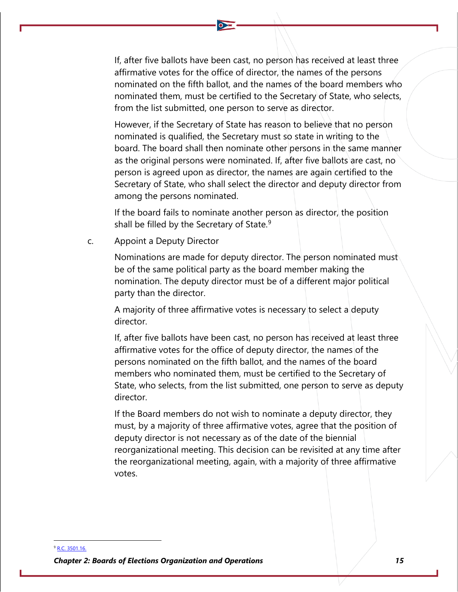If, after five ballots have been cast, no person has received at least three affirmative votes for the office of director, the names of the persons nominated on the fifth ballot, and the names of the board members who nominated them, must be certified to the Secretary of State, who selects, from the list submitted, one person to serve as director.

However, if the Secretary of State has reason to believe that no person nominated is qualified, the Secretary must so state in writing to the board. The board shall then nominate other persons in the same manner as the original persons were nominated. If, after five ballots are cast, no person is agreed upon as director, the names are again certified to the Secretary of State, who shall select the director and deputy director from among the persons nominated.

If the board fails to nominate another person as director, the position shall be filled by the Secretary of State. $9$ 

c. Appoint a Deputy Director

Nominations are made for deputy director. The person nominated must be of the same political party as the board member making the nomination. The deputy director must be of a different major political party than the director.

A majority of three affirmative votes is necessary to select a deputy director.

If, after five ballots have been cast, no person has received at least three affirmative votes for the office of deputy director, the names of the persons nominated on the fifth ballot, and the names of the board members who nominated them, must be certified to the Secretary of State, who selects, from the list submitted, one person to serve as deputy director.

If the Board members do not wish to nominate a deputy director, they must, by a majority of three affirmative votes, agree that the position of deputy director is not necessary as of the date of the biennial reorganizational meeting. This decision can be revisited at any time after the reorganizational meeting, again, with a majority of three affirmative votes.

<span id="page-7-0"></span>*Chapter 2: Boards of Elections Organization and Operations 15* <sup>9</sup> [R.C. 3501.16.](http://codes.ohio.gov/orc/3501.16)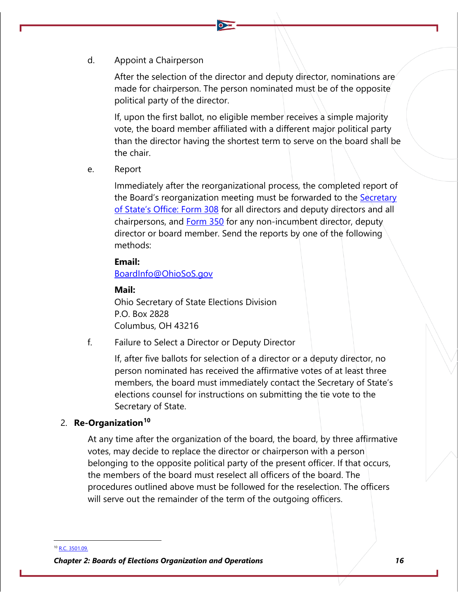d. Appoint a Chairperson

After the selection of the director and deputy director, nominations are made for chairperson. The person nominated must be of the opposite political party of the director.

If, upon the first ballot, no eligible member receives a simple majority vote, the board member affiliated with a different major political party than the director having the shortest term to serve on the board shall be the chair.

e. Report

Immediately after the reorganizational process, the completed report of the Board's reorganization meeting must be forwarded to the [Secretary](https://www.ohiosos.gov/globalassets/elections/forms/308.pdf)  [of State's Office: Form 308](https://www.ohiosos.gov/globalassets/elections/forms/308.pdf) for all directors and deputy directors and all chairpersons, and **[Form 350](https://www.ohiosos.gov/globalassets/elections/forms/350.pdf)** for any non-incumbent director, deputy director or board member. Send the reports by one of the following methods:

### **Email:**

[BoardInfo@OhioSoS.gov](mailto:boardinfo@OhioSoS.gov)

### **Mail:**

Ohio Secretary of State Elections Division P.O. Box 2828 Columbus, OH 43216

f. Failure to Select a Director or Deputy Director

If, after five ballots for selection of a director or a deputy director, no person nominated has received the affirmative votes of at least three members, the board must immediately contact the Secretary of State's elections counsel for instructions on submitting the tie vote to the Secretary of State.

#### 2. **Re-Organization[10](#page-8-0)**

At any time after the organization of the board, the board, by three affirmative votes, may decide to replace the director or chairperson with a person belonging to the opposite political party of the present officer. If that occurs, the members of the board must reselect all officers of the board. The procedures outlined above must be followed for the reselection. The officers will serve out the remainder of the term of the outgoing officers.

<span id="page-8-0"></span><sup>10</sup> [R.C. 3501.09.](http://codes.ohio.gov/orc/3501.09)

*Chapter 2: Boards of Elections Organization and Operations 16*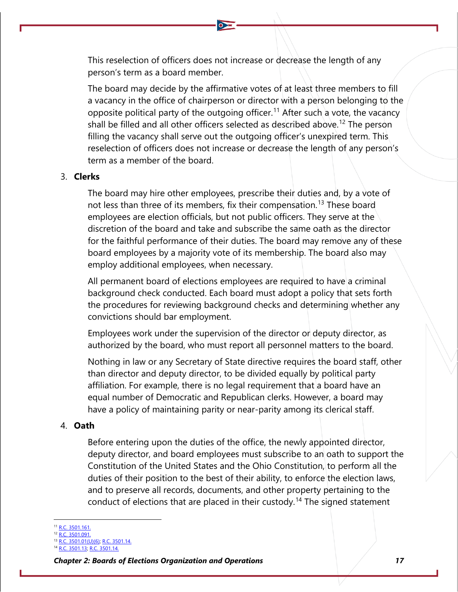This reselection of officers does not increase or decrease the length of any person's term as a board member.

The board may decide by the affirmative votes of at least three members to fill a vacancy in the office of chairperson or director with a person belonging to the opposite political party of the outgoing officer.<sup>[11](#page-9-0)</sup> After such a vote, the vacancy shall be filled and all other officers selected as described above.<sup>[12](#page-9-1)</sup> The person filling the vacancy shall serve out the outgoing officer's unexpired term. This reselection of officers does not increase or decrease the length of any person's term as a member of the board.

### 3. **Clerks**

The board may hire other employees, prescribe their duties and, by a vote of not less than three of its members, fix their compensation.<sup>[13](#page-9-2)</sup> These board employees are election officials, but not public officers. They serve at the discretion of the board and take and subscribe the same oath as the director for the faithful performance of their duties. The board may remove any of these board employees by a majority vote of its membership. The board also may employ additional employees, when necessary.

All permanent board of elections employees are required to have a criminal background check conducted. Each board must adopt a policy that sets forth the procedures for reviewing background checks and determining whether any convictions should bar employment.

Employees work under the supervision of the director or deputy director, as authorized by the board, who must report all personnel matters to the board.

Nothing in law or any Secretary of State directive requires the board staff, other than director and deputy director, to be divided equally by political party affiliation. For example, there is no legal requirement that a board have an equal number of Democratic and Republican clerks. However, a board may have a policy of maintaining parity or near-parity among its clerical staff.

### 4. **Oath**

Before entering upon the duties of the office, the newly appointed director, deputy director, and board employees must subscribe to an oath to support the Constitution of the United States and the Ohio Constitution, to perform all the duties of their position to the best of their ability, to enforce the election laws, and to preserve all records, documents, and other property pertaining to the conduct of elections that are placed in their custody.<sup>[14](#page-9-3)</sup> The signed statement

<span id="page-9-1"></span><span id="page-9-0"></span>[R.C. 3501.161.](http://codes.ohio.gov/orc/3501.161)

[R.C. 3501.091.](http://codes.ohio.gov/orc/3501.091v1) [R.C. 3501.01\(U\)\(6\);](http://codes.ohio.gov/orc/3501.01) [R.C. 3501.14.](http://codes.ohio.gov/orc/3501.14)

<span id="page-9-3"></span><span id="page-9-2"></span><sup>14</sup> [R.C. 3501.13;](http://codes.ohio.gov/orc/3501.13) [R.C. 3501.14.](http://codes.ohio.gov/orc/3501.14)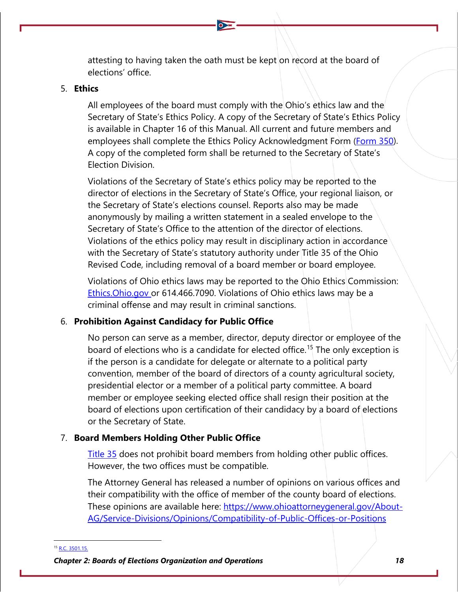attesting to having taken the oath must be kept on record at the board of elections' office.

### 5. **Ethics**

All employees of the board must comply with the Ohio's ethics law and the Secretary of State's Ethics Policy. A copy of the Secretary of State's Ethics Policy is available in Chapter 16 of this Manual. All current and future members and employees shall complete the Ethics Policy Acknowledgment Form [\(Form 350\)](https://www.ohiosos.gov/globalassets/elections/forms/350.pdf). A copy of the completed form shall be returned to the Secretary of State's Election Division.

Violations of the Secretary of State's ethics policy may be reported to the director of elections in the Secretary of State's Office, your regional liaison, or the Secretary of State's elections counsel. Reports also may be made anonymously by mailing a written statement in a sealed envelope to the Secretary of State's Office to the attention of the director of elections. Violations of the ethics policy may result in disciplinary action in accordance with the Secretary of State's statutory authority under Title 35 of the Ohio Revised Code, including removal of a board member or board employee.

Violations of Ohio ethics laws may be reported to the Ohio Ethics Commission: [Ethics.Ohio.gov](http://www.ethics.ohio.gov/) or 614.466.7090. Violations of Ohio ethics laws may be a criminal offense and may result in criminal sanctions.

## 6. **Prohibition Against Candidacy for Public Office**

No person can serve as a member, director, deputy director or employee of the board of elections who is a candidate for elected office.<sup>[15](#page-10-0)</sup> The only exception is if the person is a candidate for delegate or alternate to a political party convention, member of the board of directors of a county agricultural society, presidential elector or a member of a political party committee. A board member or employee seeking elected office shall resign their position at the board of elections upon certification of their candidacy by a board of elections or the Secretary of State.

## 7. **Board Members Holding Other Public Office**

[Title 35](http://codes.ohio.gov/orc/35) does not prohibit board members from holding other public offices. However, the two offices must be compatible.

The Attorney General has released a number of opinions on various offices and their compatibility with the office of member of the county board of elections. These opinions are available here: [https://www.ohioattorneygeneral.gov/About-](https://www.ohioattorneygeneral.gov/About-AG/Service-Divisions/Opinions/Compatibility-of-Public-Offices-or-Positions)[AG/Service-Divisions/Opinions/Compatibility-of-Public-Offices-or-Positions](https://www.ohioattorneygeneral.gov/About-AG/Service-Divisions/Opinions/Compatibility-of-Public-Offices-or-Positions)

<span id="page-10-0"></span><sup>15</sup> [R.C. 3501.15.](http://codes.ohio.gov/orc/3501.15)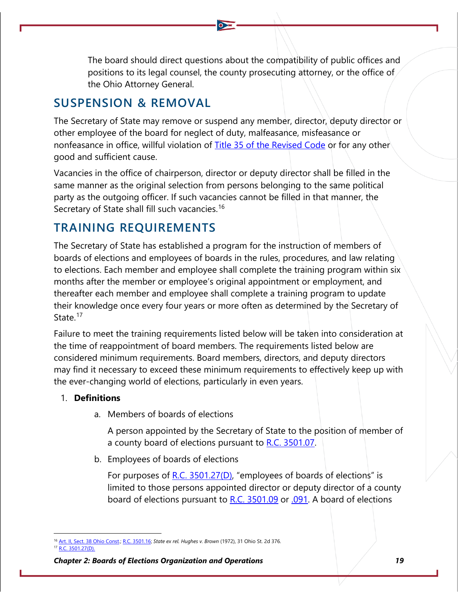The board should direct questions about the compatibility of public offices and positions to its legal counsel, the county prosecuting attorney, or the office of the Ohio Attorney General.

## **SUSPENSION & REMOVAL**

The Secretary of State may remove or suspend any member, director, deputy director or other employee of the board for neglect of duty, malfeasance, misfeasance or nonfeasance in office, willful violation of [Title 35 of the Revised Code](http://codes.ohio.gov/orc/35) or for any other good and sufficient cause.

Vacancies in the office of chairperson, director or deputy director shall be filled in the same manner as the original selection from persons belonging to the same political party as the outgoing officer. If such vacancies cannot be filled in that manner, the Secretary of State shall fill such vacancies.<sup>[16](#page-11-0)</sup>

## **TRAINING REQUIREMENTS**

The Secretary of State has established a program for the instruction of members of boards of elections and employees of boards in the rules, procedures, and law relating to elections. Each member and employee shall complete the training program within six months after the member or employee's original appointment or employment, and thereafter each member and employee shall complete a training program to update their knowledge once every four years or more often as determined by the Secretary of State.<sup>[17](#page-11-1)</sup>

Failure to meet the training requirements listed below will be taken into consideration at the time of reappointment of board members. The requirements listed below are considered minimum requirements. Board members, directors, and deputy directors may find it necessary to exceed these minimum requirements to effectively keep up with the ever-changing world of elections, particularly in even years.

## 1. **Definitions**

a. Members of boards of elections

A person appointed by the Secretary of State to the position of member of a county board of elections pursuant to [R.C. 3501.07.](http://codes.ohio.gov/orc/3501.07)

b. Employees of boards of elections

For purposes of [R.C. 3501.27\(D\),](http://codes.ohio.gov/orc/3501.27) "employees of boards of elections" is limited to those persons appointed director or deputy director of a county board of elections pursuant to [R.C. 3501.09](http://codes.ohio.gov/orc/3501.09) or [.091.](http://codes.ohio.gov/orc/3501.091) A board of elections

<span id="page-11-1"></span><span id="page-11-0"></span><sup>16</sup> [Art. II, Sect. 38 Ohio Const.;](https://www.legislature.ohio.gov/laws/ohio-constitution/section?const=2.38) [R.C. 3501.16;](http://codes.ohio.gov/orc/3501.16) *State ex rel. Hughes v. Brown* (1972), 31 Ohio St. 2d 376. [R.C. 3501.27\(D\).](http://codes.ohio.gov/orc/3501.27)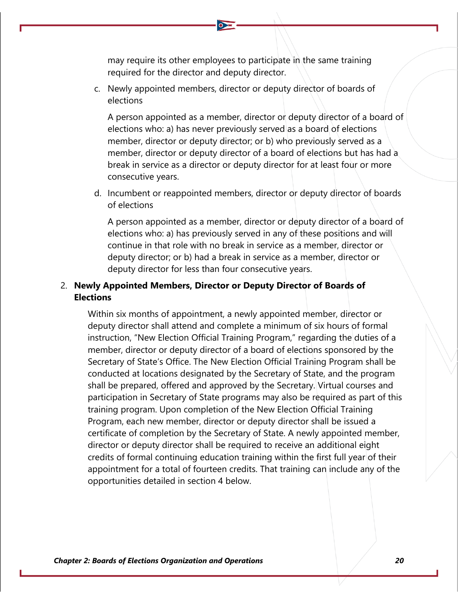may require its other employees to participate in the same training required for the director and deputy director.

c. Newly appointed members, director or deputy director of boards of elections

A person appointed as a member, director or deputy director of a board of elections who: a) has never previously served as a board of elections member, director or deputy director; or b) who previously served as a member, director or deputy director of a board of elections but has had a break in service as a director or deputy director for at least four or more consecutive years.

d. Incumbent or reappointed members, director or deputy director of boards of elections

A person appointed as a member, director or deputy director of a board of elections who: a) has previously served in any of these positions and will continue in that role with no break in service as a member, director or deputy director; or b) had a break in service as a member, director or deputy director for less than four consecutive years.

## 2. **Newly Appointed Members, Director or Deputy Director of Boards of Elections**

Within six months of appointment, a newly appointed member, director or deputy director shall attend and complete a minimum of six hours of formal instruction, "New Election Official Training Program," regarding the duties of a member, director or deputy director of a board of elections sponsored by the Secretary of State's Office. The New Election Official Training Program shall be conducted at locations designated by the Secretary of State, and the program shall be prepared, offered and approved by the Secretary. Virtual courses and participation in Secretary of State programs may also be required as part of this training program. Upon completion of the New Election Official Training Program, each new member, director or deputy director shall be issued a certificate of completion by the Secretary of State. A newly appointed member, director or deputy director shall be required to receive an additional eight credits of formal continuing education training within the first full year of their appointment for a total of fourteen credits. That training can include any of the opportunities detailed in section 4 below.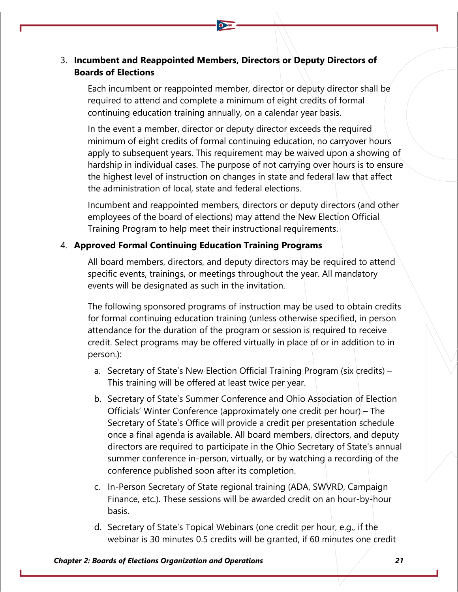## 3. **Incumbent and Reappointed Members, Directors or Deputy Directors of Boards of Elections**

Each incumbent or reappointed member, director or deputy director shall be required to attend and complete a minimum of eight credits of formal continuing education training annually, on a calendar year basis.

In the event a member, director or deputy director exceeds the required minimum of eight credits of formal continuing education, no carryover hours apply to subsequent years. This requirement may be waived upon a showing of hardship in individual cases. The purpose of not carrying over hours is to ensure the highest level of instruction on changes in state and federal law that affect the administration of local, state and federal elections.

Incumbent and reappointed members, directors or deputy directors (and other employees of the board of elections) may attend the New Election Official Training Program to help meet their instructional requirements.

## 4. **Approved Formal Continuing Education Training Programs**

All board members, directors, and deputy directors may be required to attend specific events, trainings, or meetings throughout the year. All mandatory events will be designated as such in the invitation.

The following sponsored programs of instruction may be used to obtain credits for formal continuing education training (unless otherwise specified, in person attendance for the duration of the program or session is required to receive credit. Select programs may be offered virtually in place of or in addition to in person.):

- a. Secretary of State's New Election Official Training Program (six credits) This training will be offered at least twice per year.
- b. Secretary of State's Summer Conference and Ohio Association of Election Officials' Winter Conference (approximately one credit per hour) – The Secretary of State's Office will provide a credit per presentation schedule once a final agenda is available. All board members, directors, and deputy directors are required to participate in the Ohio Secretary of State's annual summer conference in-person, virtually, or by watching a recording of the conference published soon after its completion.
- c. In-Person Secretary of State regional training (ADA, SWVRD, Campaign Finance, etc.). These sessions will be awarded credit on an hour-by-hour basis.
- d. Secretary of State's Topical Webinars (one credit per hour, e.g., if the webinar is 30 minutes 0.5 credits will be granted, if 60 minutes one credit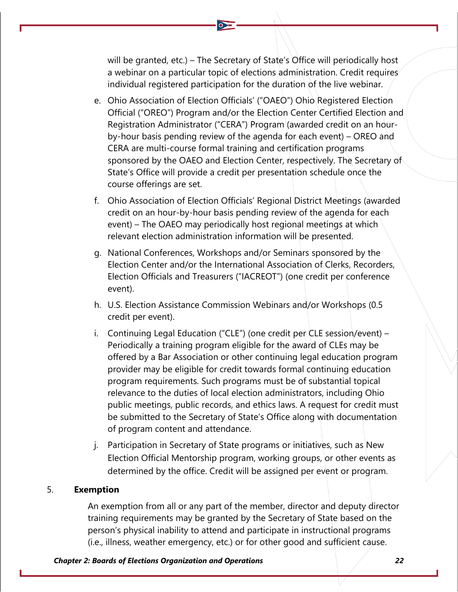will be granted, etc.) – The Secretary of State's Office will periodically host a webinar on a particular topic of elections administration. Credit requires individual registered participation for the duration of the live webinar.

- e. Ohio Association of Election Officials' ("OAEO") Ohio Registered Election Official ("OREO") Program and/or the Election Center Certified Election and Registration Administrator ("CERA") Program (awarded credit on an hourby-hour basis pending review of the agenda for each event) – OREO and CERA are multi-course formal training and certification programs sponsored by the OAEO and Election Center, respectively. The Secretary of State's Office will provide a credit per presentation schedule once the course offerings are set.
- f. Ohio Association of Election Officials' Regional District Meetings (awarded credit on an hour-by-hour basis pending review of the agenda for each event) – The OAEO may periodically host regional meetings at which relevant election administration information will be presented.
- g. National Conferences, Workshops and/or Seminars sponsored by the Election Center and/or the International Association of Clerks, Recorders, Election Officials and Treasurers ("IACREOT") (one credit per conference event).
- h. U.S. Election Assistance Commission Webinars and/or Workshops (0.5 credit per event).
- i. Continuing Legal Education ("CLE") (one credit per CLE session/event) Periodically a training program eligible for the award of CLEs may be offered by a Bar Association or other continuing legal education program provider may be eligible for credit towards formal continuing education program requirements. Such programs must be of substantial topical relevance to the duties of local election administrators, including Ohio public meetings, public records, and ethics laws. A request for credit must be submitted to the Secretary of State's Office along with documentation of program content and attendance.
- j. Participation in Secretary of State programs or initiatives, such as New Election Official Mentorship program, working groups, or other events as determined by the office. Credit will be assigned per event or program.

### 5. **Exemption**

An exemption from all or any part of the member, director and deputy director training requirements may be granted by the Secretary of State based on the person's physical inability to attend and participate in instructional programs (i.e., illness, weather emergency, etc.) or for other good and sufficient cause.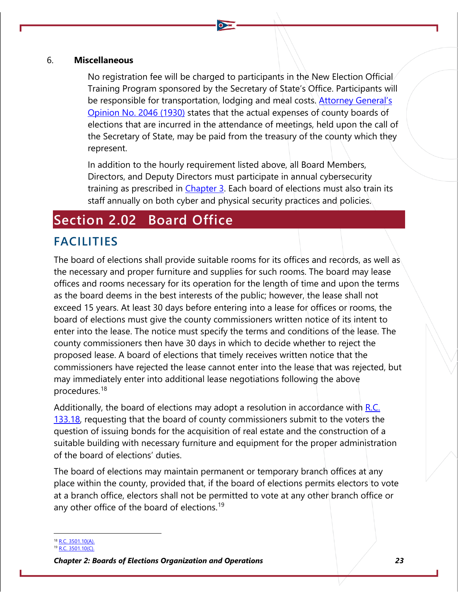## 6. **Miscellaneous**

No registration fee will be charged to participants in the New Election Official Training Program sponsored by the Secretary of State's Office. Participants will be responsible for transportation, lodging and meal costs. [Attorney General's](https://www.ohioattorneygeneral.gov/getattachment/c1dc8887-4c36-47e2-b3fe-2223ec04d655/1930-2046.aspx) [Opinion No. 2046 \(1930\)](https://www.ohioattorneygeneral.gov/getattachment/c1dc8887-4c36-47e2-b3fe-2223ec04d655/1930-2046.aspx) states that the actual expenses of county boards of elections that are incurred in the attendance of meetings, held upon the call of the Secretary of State, may be paid from the treasury of the county which they represent.

In addition to the hourly requirement listed above, all Board Members, Directors, and Deputy Directors must participate in annual cybersecurity training as prescribed in Chapter 3. Each board of elections must also train its staff annually on both cyber and physical security practices and policies.

# **Section 2.02 Board Office**

## **FACILITIES**

The board of elections shall provide suitable rooms for its offices and records, as well as the necessary and proper furniture and supplies for such rooms. The board may lease offices and rooms necessary for its operation for the length of time and upon the terms as the board deems in the best interests of the public; however, the lease shall not exceed 15 years. At least 30 days before entering into a lease for offices or rooms, the board of elections must give the county commissioners written notice of its intent to enter into the lease. The notice must specify the terms and conditions of the lease. The county commissioners then have 30 days in which to decide whether to reject the proposed lease. A board of elections that timely receives written notice that the commissioners have rejected the lease cannot enter into the lease that was rejected, but may immediately enter into additional lease negotiations following the above procedures.[18](#page-15-0)

Additionally, the board of elections may adopt a resolution in accordance with R.C. [133.18,](http://codes.ohio.gov/orc/133.18) requesting that the board of county commissioners submit to the voters the question of issuing bonds for the acquisition of real estate and the construction of a suitable building with necessary furniture and equipment for the proper administration of the board of elections' duties.

The board of elections may maintain permanent or temporary branch offices at any place within the county, provided that, if the board of elections permits electors to vote at a branch office, electors shall not be permitted to vote at any other branch office or any other office of the board of elections.<sup>[19](#page-15-1)</sup>

<span id="page-15-0"></span><sup>8</sup> [R.C. 3501.10\(A\).](http://codes.ohio.gov/orc/3501.10)

<span id="page-15-1"></span><sup>19</sup> [R.C. 3501.10\(C\).](http://codes.ohio.gov/orc/3501.10)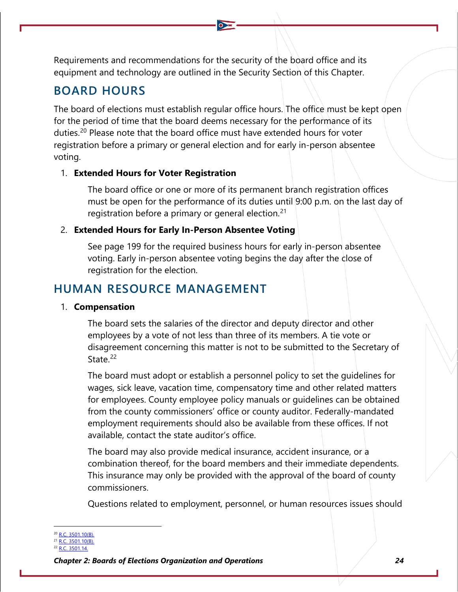Requirements and recommendations for the security of the board office and its equipment and technology are outlined in the Security Section of this Chapter.

## **BOARD HOURS**

The board of elections must establish regular office hours. The office must be kept open for the period of time that the board deems necessary for the performance of its duties.[20](#page-16-0) Please note that the board office must have extended hours for voter registration before a primary or general election and for early in-person absentee voting.

## 1. **Extended Hours for Voter Registration**

The board office or one or more of its permanent branch registration offices must be open for the performance of its duties until 9:00 p.m. on the last day of registration before a primary or general election.<sup>[21](#page-16-1)</sup>

## 2. **Extended Hours for Early In-Person Absentee Voting**

See page 199 for the required business hours for early in-person absentee voting. Early in-person absentee voting begins the day after the close of registration for the election.

## **HUMAN RESOURCE MANAGEMENT**

## 1. **Compensation**

The board sets the salaries of the director and deputy director and other employees by a vote of not less than three of its members. A tie vote or disagreement concerning this matter is not to be submitted to the Secretary of State.<sup>[22](#page-16-2)</sup>

The board must adopt or establish a personnel policy to set the guidelines for wages, sick leave, vacation time, compensatory time and other related matters for employees. County employee policy manuals or guidelines can be obtained from the county commissioners' office or county auditor. Federally-mandated employment requirements should also be available from these offices. If not available, contact the state auditor's office.

The board may also provide medical insurance, accident insurance, or a combination thereof, for the board members and their immediate dependents. This insurance may only be provided with the approval of the board of county commissioners.

Questions related to employment, personnel, or human resources issues should

<span id="page-16-1"></span><span id="page-16-0"></span><sup>&</sup>lt;sup>20</sup> [R.C. 3501.10\(B\).](http://codes.ohio.gov/orc/3501.10)

 $1 R.C. 3501.10(B)$ .

<span id="page-16-2"></span><sup>22</sup> [R.C. 3501.14.](http://codes.ohio.gov/orc/3501.14)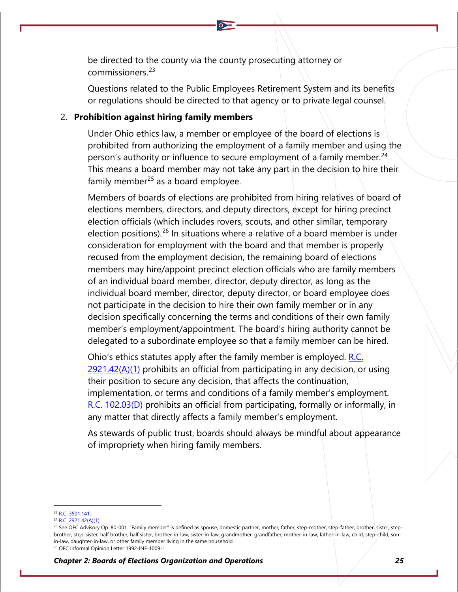be directed to the county via the county prosecuting attorney or commissioners.[23](#page-17-0)

Questions related to the Public Employees Retirement System and its benefits or regulations should be directed to that agency or to private legal counsel.

### 2. **Prohibition against hiring family members**

Under Ohio ethics law, a member or employee of the board of elections is prohibited from authorizing the employment of a family member and using the person's authority or influence to secure employment of a family member.<sup>[24](#page-17-1)</sup> This means a board member may not take any part in the decision to hire their family member $^{25}$  $^{25}$  $^{25}$  as a board employee.

Members of boards of elections are prohibited from hiring relatives of board of elections members, directors, and deputy directors, except for hiring precinct election officials (which includes rovers, scouts, and other similar, temporary election positions).<sup>[26](#page-17-3)</sup> In situations where a relative of a board member is under consideration for employment with the board and that member is properly recused from the employment decision, the remaining board of elections members may hire/appoint precinct election officials who are family members of an individual board member, director, deputy director, as long as the individual board member, director, deputy director, or board employee does not participate in the decision to hire their own family member or in any decision specifically concerning the terms and conditions of their own family member's employment/appointment. The board's hiring authority cannot be delegated to a subordinate employee so that a family member can be hired.

Ohio's ethics statutes apply after the family member is employed.  $R.C.$  $2921.42(A)(1)$  prohibits an official from participating in any decision, or using their position to secure any decision, that affects the continuation, implementation, or terms and conditions of a family member's employment. [R.C. 102.03\(D\)](http://codes.ohio.gov/orc/102.03v1) prohibits an official from participating, formally or informally, in any matter that directly affects a family member's employment.

As stewards of public trust, boards should always be mindful about appearance of impropriety when hiring family members.

<span id="page-17-1"></span><span id="page-17-0"></span><sup>23</sup> [R.C. 3501.141.](http://codes.ohio.gov/orc/3501.141)

<sup>&</sup>lt;sup>24</sup> [R.C. 2921.42\(A\)\(1\).](http://codes.ohio.gov/orc/2921.42v1)

<span id="page-17-2"></span><sup>&</sup>lt;sup>25</sup> See OEC Advisory Op. 80-001. "Family member" is defined as spouse, domestic partner, mother, father, step-mother, step-father, brother, sister, stepbrother, step-sister, half brother, half sister, brother-in-law, sister-in-law, grandmother, grandfather, mother-in-law, father-in-law, child, step-child, sonin-law, daughter-in-law, or other family member living in the same household.

<span id="page-17-3"></span><sup>26</sup> OEC Informal Opinion Letter 1992-INF-1009-1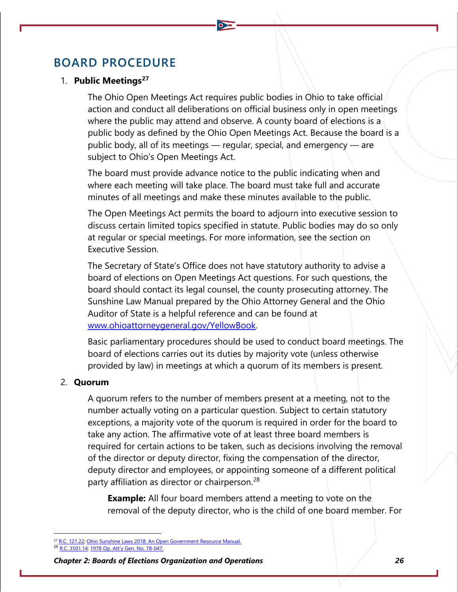## **BOARD PROCEDURE**

### 1. **Public Meetings[27](#page-18-0)**

The Ohio Open Meetings Act requires public bodies in Ohio to take official action and conduct all deliberations on official business only in open meetings where the public may attend and observe. A county board of elections is a public body as defined by the Ohio Open Meetings Act. Because the board is a public body, all of its meetings - regular, special, and emergency - are subject to Ohio's Open Meetings Act.

The board must provide advance notice to the public indicating when and where each meeting will take place. The board must take full and accurate minutes of all meetings and make these minutes available to the public.

The Open Meetings Act permits the board to adjourn into executive session to discuss certain limited topics specified in statute. Public bodies may do so only at regular or special meetings. For more information, see the section on Executive Session.

The Secretary of State's Office does not have statutory authority to advise a board of elections on Open Meetings Act questions. For such questions, the board should contact its legal counsel, the county prosecuting attorney. The Sunshine Law Manual prepared by the Ohio Attorney General and the Ohio Auditor of State is a helpful reference and can be found at [www.ohioattorneygeneral.gov/YellowBook.](http://www.ohioattorneygeneral.gov/YellowBook)

Basic parliamentary procedures should be used to conduct board meetings. The board of elections carries out its duties by majority vote (unless otherwise provided by law) in meetings at which a quorum of its members is present.

### 2. **Quorum**

A quorum refers to the number of members present at a meeting, not to the number actually voting on a particular question. Subject to certain statutory exceptions, a majority vote of the quorum is required in order for the board to take any action. The affirmative vote of at least three board members is required for certain actions to be taken, such as decisions involving the removal of the director or deputy director, fixing the compensation of the director, deputy director and employees, or appointing someone of a different political party affiliation as director or chairperson.<sup>[28](#page-18-1)</sup>

**Example:** All four board members attend a meeting to vote on the removal of the deputy director, who is the child of one board member. For

<span id="page-18-1"></span><sup>3</sup> [R.C. 3501.14;](http://codes.ohio.gov/orc/3501.14) [1978 Op. Att'y Gen. No. 78-047.](https://www.ohioattorneygeneral.gov/getattachment/90cdec73-66c8-4ed9-8fac-f45b2fa37b12/1978-047.aspx)

<span id="page-18-0"></span><sup>&</sup>lt;sup>27</sup> [R.C. 121.22;](http://codes.ohio.gov/orc/121.22) [Ohio Sunshine Laws 2018: An Open Government Resource Manual.](https://www.ohioattorneygeneral.gov/yellowbook)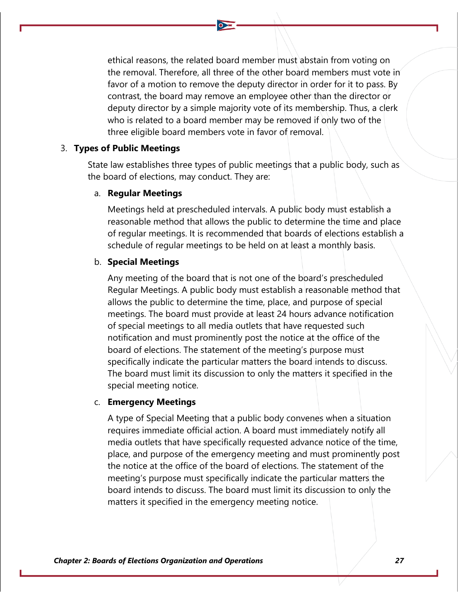ethical reasons, the related board member must abstain from voting on the removal. Therefore, all three of the other board members must vote in favor of a motion to remove the deputy director in order for it to pass. By contrast, the board may remove an employee other than the director or deputy director by a simple majority vote of its membership. Thus, a clerk who is related to a board member may be removed if only two of the three eligible board members vote in favor of removal.

## 3. **Types of Public Meetings**

State law establishes three types of public meetings that a public body, such as the board of elections, may conduct. They are:

#### a. **Regular Meetings**

Meetings held at prescheduled intervals. A public body must establish a reasonable method that allows the public to determine the time and place of regular meetings. It is recommended that boards of elections establish a schedule of regular meetings to be held on at least a monthly basis.

#### b. **Special Meetings**

Any meeting of the board that is not one of the board's prescheduled Regular Meetings. A public body must establish a reasonable method that allows the public to determine the time, place, and purpose of special meetings. The board must provide at least 24 hours advance notification of special meetings to all media outlets that have requested such notification and must prominently post the notice at the office of the board of elections. The statement of the meeting's purpose must specifically indicate the particular matters the board intends to discuss. The board must limit its discussion to only the matters it specified in the special meeting notice.

#### c. **Emergency Meetings**

A type of Special Meeting that a public body convenes when a situation requires immediate official action. A board must immediately notify all media outlets that have specifically requested advance notice of the time, place, and purpose of the emergency meeting and must prominently post the notice at the office of the board of elections. The statement of the meeting's purpose must specifically indicate the particular matters the board intends to discuss. The board must limit its discussion to only the matters it specified in the emergency meeting notice.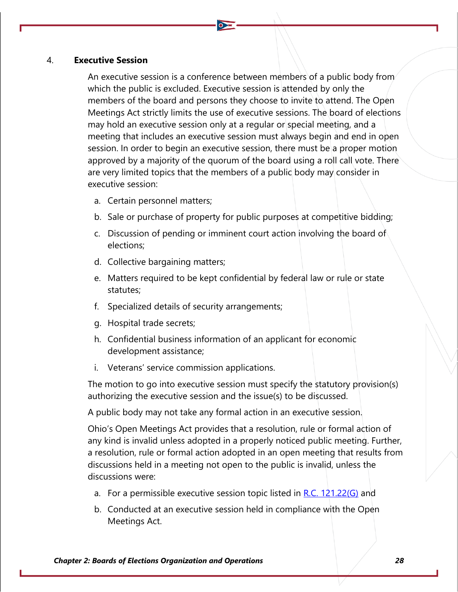### 4. **Executive Session**

An executive session is a conference between members of a public body from which the public is excluded. Executive session is attended by only the members of the board and persons they choose to invite to attend. The Open Meetings Act strictly limits the use of executive sessions. The board of elections may hold an executive session only at a regular or special meeting, and a meeting that includes an executive session must always begin and end in open session. In order to begin an executive session, there must be a proper motion approved by a majority of the quorum of the board using a roll call vote. There are very limited topics that the members of a public body may consider in executive session:

- a. Certain personnel matters;
- b. Sale or purchase of property for public purposes at competitive bidding;
- c. Discussion of pending or imminent court action involving the board of elections;
- d. Collective bargaining matters;
- e. Matters required to be kept confidential by federal law or rule or state statutes;
- f. Specialized details of security arrangements;
- g. Hospital trade secrets;
- h. Confidential business information of an applicant for economic development assistance;
- i. Veterans' service commission applications.

The motion to go into executive session must specify the statutory provision(s) authorizing the executive session and the issue(s) to be discussed.

A public body may not take any formal action in an executive session.

Ohio's Open Meetings Act provides that a resolution, rule or formal action of any kind is invalid unless adopted in a properly noticed public meeting. Further, a resolution, rule or formal action adopted in an open meeting that results from discussions held in a meeting not open to the public is invalid, unless the discussions were:

- a. For a permissible executive session topic listed in  $R.C. 121.22(G)$  and
- b. Conducted at an executive session held in compliance with the Open Meetings Act.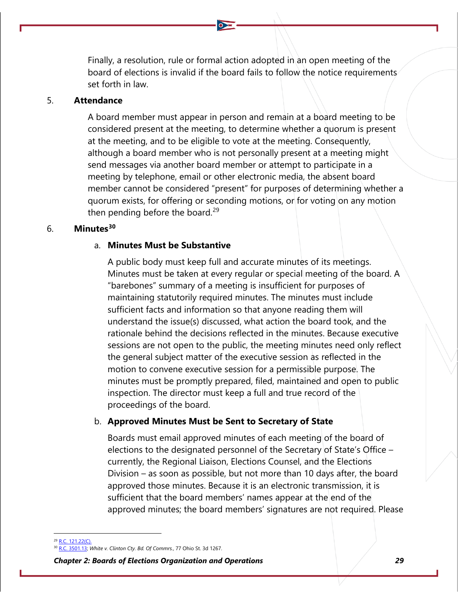Finally, a resolution, rule or formal action adopted in an open meeting of the board of elections is invalid if the board fails to follow the notice requirements set forth in law.

### 5. **Attendance**

A board member must appear in person and remain at a board meeting to be considered present at the meeting, to determine whether a quorum is present at the meeting, and to be eligible to vote at the meeting. Consequently, although a board member who is not personally present at a meeting might send messages via another board member or attempt to participate in a meeting by telephone, email or other electronic media, the absent board member cannot be considered "present" for purposes of determining whether a quorum exists, for offering or seconding motions, or for voting on any motion then pending before the board.<sup>[29](#page-21-0)</sup>

## 6. **Minutes[30](#page-21-1)**

### a. **Minutes Must be Substantive**

A public body must keep full and accurate minutes of its meetings. Minutes must be taken at every regular or special meeting of the board. A "barebones" summary of a meeting is insufficient for purposes of maintaining statutorily required minutes. The minutes must include sufficient facts and information so that anyone reading them will understand the issue(s) discussed, what action the board took, and the rationale behind the decisions reflected in the minutes. Because executive sessions are not open to the public, the meeting minutes need only reflect the general subject matter of the executive session as reflected in the motion to convene executive session for a permissible purpose. The minutes must be promptly prepared, filed, maintained and open to public inspection. The director must keep a full and true record of the proceedings of the board.

## b. **Approved Minutes Must be Sent to Secretary of State**

Boards must email approved minutes of each meeting of the board of elections to the designated personnel of the Secretary of State's Office – currently, the Regional Liaison, Elections Counsel, and the Elections Division – as soon as possible, but not more than 10 days after, the board approved those minutes. Because it is an electronic transmission, it is sufficient that the board members' names appear at the end of the approved minutes; the board members' signatures are not required. Please

<span id="page-21-1"></span><span id="page-21-0"></span> $^{29}$  [R.C. 121.22\(C\).](http://codes.ohio.gov/orc/121.22)

<sup>30</sup> [R.C. 3501.13;](http://codes.ohio.gov/orc/3501.13) *White v. Clinton Cty. Bd. Of Commrs.*, 77 Ohio St. 3d 1267.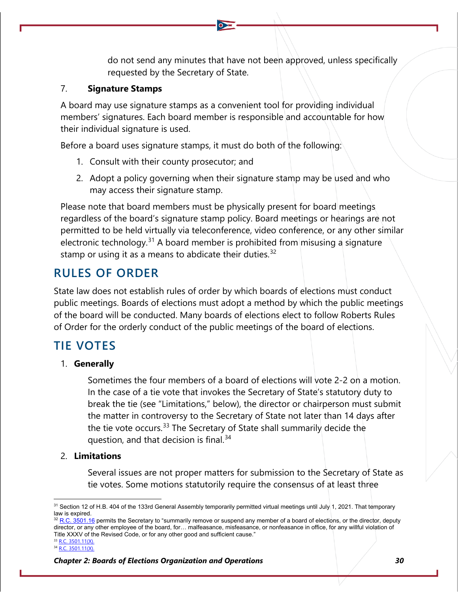do not send any minutes that have not been approved, unless specifically requested by the Secretary of State.

## 7. **Signature Stamps**

A board may use signature stamps as a convenient tool for providing individual members' signatures. Each board member is responsible and accountable for how their individual signature is used.

Before a board uses signature stamps, it must do both of the following:

- 1. Consult with their county prosecutor; and
- 2. Adopt a policy governing when their signature stamp may be used and who may access their signature stamp.

Please note that board members must be physically present for board meetings regardless of the board's signature stamp policy. Board meetings or hearings are not permitted to be held virtually via teleconference, video conference, or any other similar electronic technology.<sup>[31](#page-22-0)</sup> A board member is prohibited from misusing a signature stamp or using it as a means to abdicate their duties. $32$ 

## **RULES OF ORDER**

State law does not establish rules of order by which boards of elections must conduct public meetings. Boards of elections must adopt a method by which the public meetings of the board will be conducted. Many boards of elections elect to follow Roberts Rules of Order for the orderly conduct of the public meetings of the board of elections.

## **TIE VOTES**

## 1. **Generally**

Sometimes the four members of a board of elections will vote 2-2 on a motion. In the case of a tie vote that invokes the Secretary of State's statutory duty to break the tie (see "Limitations," below), the director or chairperson must submit the matter in controversy to the Secretary of State not later than 14 days after the tie vote occurs.<sup>[33](#page-22-2)</sup> The Secretary of State shall summarily decide the question, and that decision is final.<sup>[34](#page-22-3)</sup>

## 2. **Limitations**

Several issues are not proper matters for submission to the Secretary of State as tie votes. Some motions statutorily require the consensus of at least three

<span id="page-22-0"></span><sup>&</sup>lt;sup>31</sup> Section 12 of H.B. 404 of the 133rd General Assembly temporarily permitted virtual meetings until July 1, 2021. That temporary law is expired.

<span id="page-22-1"></span> $32$  [R.C. 3501.16](https://codes.ohio.gov/ohio-revised-code/section-3501.16) permits the Secretary to "summarily remove or suspend any member of a board of elections, or the director, deputy director, or any other employee of the board, for… malfeasance, misfeasance, or nonfeasance in office, for any willful violation of Title XXXV of the Revised Code, or for any other good and sufficient cause."

<span id="page-22-3"></span><span id="page-22-2"></span><sup>33</sup> [R.C. 3501.11\(X\).](http://codes.ohio.gov/orc/3501.11)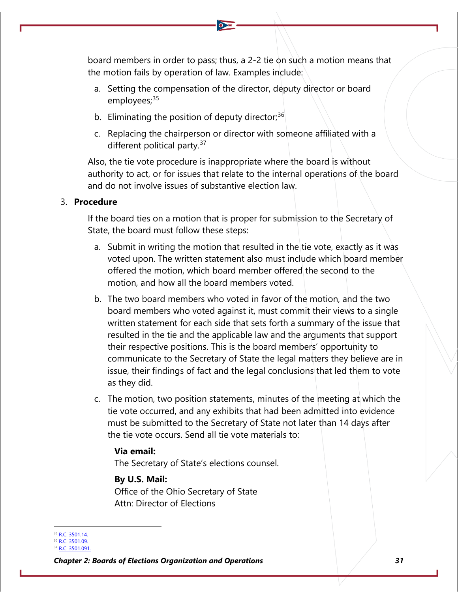board members in order to pass; thus, a 2-2 tie on such a motion means that the motion fails by operation of law. Examples include:

- a. Setting the compensation of the director, deputy director or board employees;<sup>[35](#page-23-0)</sup>
- b. Eliminating the position of deputy director; $36$
- c. Replacing the chairperson or director with someone affiliated with a different political party.<sup>[37](#page-23-2)</sup>

Also, the tie vote procedure is inappropriate where the board is without authority to act, or for issues that relate to the internal operations of the board and do not involve issues of substantive election law.

## 3. **Procedure**

If the board ties on a motion that is proper for submission to the Secretary of State, the board must follow these steps:

- a. Submit in writing the motion that resulted in the tie vote, exactly as it was voted upon. The written statement also must include which board member offered the motion, which board member offered the second to the motion, and how all the board members voted.
- b. The two board members who voted in favor of the motion, and the two board members who voted against it, must commit their views to a single written statement for each side that sets forth a summary of the issue that resulted in the tie and the applicable law and the arguments that support their respective positions. This is the board members' opportunity to communicate to the Secretary of State the legal matters they believe are in issue, their findings of fact and the legal conclusions that led them to vote as they did.
- c. The motion, two position statements, minutes of the meeting at which the tie vote occurred, and any exhibits that had been admitted into evidence must be submitted to the Secretary of State not later than 14 days after the tie vote occurs. Send all tie vote materials to:

### **Via email:**

The Secretary of State's elections counsel.

### **By U.S. Mail:**

Office of the Ohio Secretary of State Attn: Director of Elections

<span id="page-23-0"></span>R.C. 3501.14

<span id="page-23-1"></span><sup>36</sup> [R.C. 3501.09.](http://codes.ohio.gov/orc/3501.09)

<span id="page-23-2"></span><sup>&</sup>lt;sup>37</sup> [R.C. 3501.091.](http://codes.ohio.gov/orc/3501.091)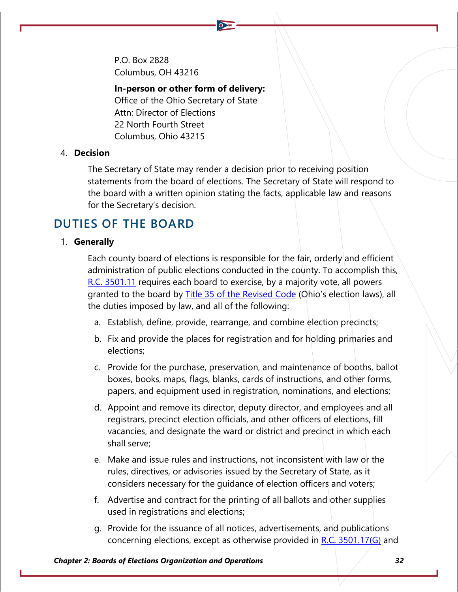P.O. Box 2828 Columbus, OH 43216

### **In-person or other form of delivery:**

Office of the Ohio Secretary of State Attn: Director of Elections 22 North Fourth Street Columbus, Ohio 43215

## 4. **Decision**

The Secretary of State may render a decision prior to receiving position statements from the board of elections. The Secretary of State will respond to the board with a written opinion stating the facts, applicable law and reasons for the Secretary's decision.

## **DUTIES OF THE BOARD**

### 1. **Generally**

Each county board of elections is responsible for the fair, orderly and efficient administration of public elections conducted in the county. To accomplish this, [R.C. 3501.11](http://codes.ohio.gov/orc/3501.11) requires each board to exercise, by a majority vote, all powers granted to the board by [Title 35 of the Revised Code](http://codes.ohio.gov/orc/35) (Ohio's election laws), all the duties imposed by law, and all of the following:

- a. Establish, define, provide, rearrange, and combine election precincts;
- b. Fix and provide the places for registration and for holding primaries and elections;
- c. Provide for the purchase, preservation, and maintenance of booths, ballot boxes, books, maps, flags, blanks, cards of instructions, and other forms, papers, and equipment used in registration, nominations, and elections;
- d. Appoint and remove its director, deputy director, and employees and all registrars, precinct election officials, and other officers of elections, fill vacancies, and designate the ward or district and precinct in which each shall serve;
- e. Make and issue rules and instructions, not inconsistent with law or the rules, directives, or advisories issued by the Secretary of State, as it considers necessary for the quidance of election officers and voters;
- f. Advertise and contract for the printing of all ballots and other supplies used in registrations and elections;
- g. Provide for the issuance of all notices, advertisements, and publications concerning elections, except as otherwise provided in  $R.C. 3501.17(G)$  and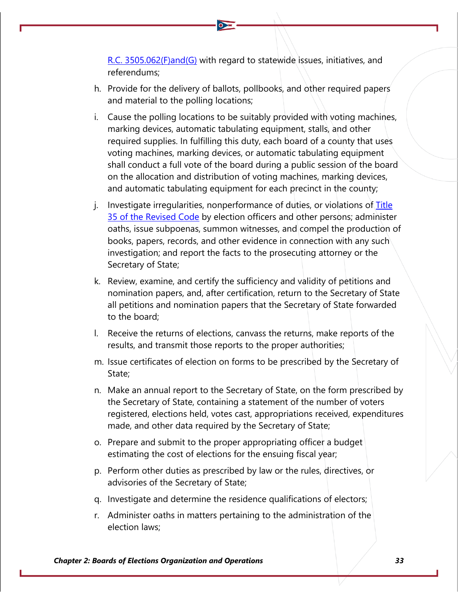[R.C. 3505.062\(F\)and\(G\)](http://codes.ohio.gov/orc/3505.062) with regard to statewide issues, initiatives, and referendums;

- h. Provide for the delivery of ballots, pollbooks, and other required papers and material to the polling locations;
- i. Cause the polling locations to be suitably provided with voting machines, marking devices, automatic tabulating equipment, stalls, and other required supplies. In fulfilling this duty, each board of a county that uses voting machines, marking devices, or automatic tabulating equipment shall conduct a full vote of the board during a public session of the board on the allocation and distribution of voting machines, marking devices, and automatic tabulating equipment for each precinct in the county;
- j. Investigate irregularities, nonperformance of duties, or violations of  $\overline{\text{Title}}$ [35 of the Revised Code](http://codes.ohio.gov/orc/35) by election officers and other persons; administer oaths, issue subpoenas, summon witnesses, and compel the production of books, papers, records, and other evidence in connection with any such investigation; and report the facts to the prosecuting attorney or the Secretary of State;
- k. Review, examine, and certify the sufficiency and validity of petitions and nomination papers, and, after certification, return to the Secretary of State all petitions and nomination papers that the Secretary of State forwarded to the board;
- l. Receive the returns of elections, canvass the returns, make reports of the results, and transmit those reports to the proper authorities;
- m. Issue certificates of election on forms to be prescribed by the Secretary of State;
- n. Make an annual report to the Secretary of State, on the form prescribed by the Secretary of State, containing a statement of the number of voters registered, elections held, votes cast, appropriations received, expenditures made, and other data required by the Secretary of State;
- o. Prepare and submit to the proper appropriating officer a budget estimating the cost of elections for the ensuing fiscal year;
- p. Perform other duties as prescribed by law or the rules, directives, or advisories of the Secretary of State;
- q. Investigate and determine the residence qualifications of electors;
- r. Administer oaths in matters pertaining to the administration of the election laws;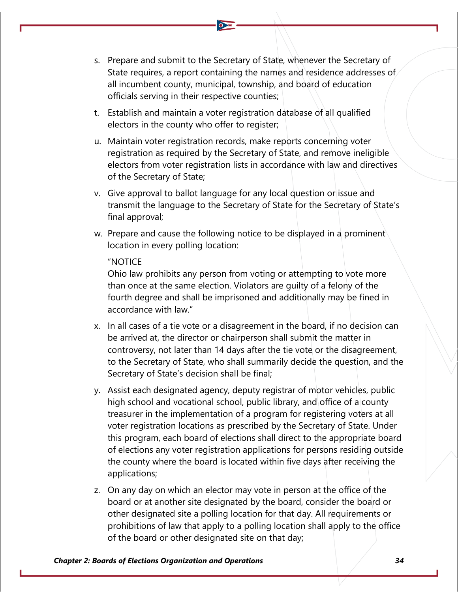- s. Prepare and submit to the Secretary of State, whenever the Secretary of State requires, a report containing the names and residence addresses of all incumbent county, municipal, township, and board of education officials serving in their respective counties;
- t. Establish and maintain a voter registration database of all qualified electors in the county who offer to register;
- u. Maintain voter registration records, make reports concerning voter registration as required by the Secretary of State, and remove ineligible electors from voter registration lists in accordance with law and directives of the Secretary of State;
- v. Give approval to ballot language for any local question or issue and transmit the language to the Secretary of State for the Secretary of State's final approval;
- w. Prepare and cause the following notice to be displayed in a prominent location in every polling location:

### "NOTICE

Ohio law prohibits any person from voting or attempting to vote more than once at the same election. Violators are guilty of a felony of the fourth degree and shall be imprisoned and additionally may be fined in accordance with law."

- x. In all cases of a tie vote or a disagreement in the board, if no decision can be arrived at, the director or chairperson shall submit the matter in controversy, not later than 14 days after the tie vote or the disagreement, to the Secretary of State, who shall summarily decide the question, and the Secretary of State's decision shall be final;
- y. Assist each designated agency, deputy registrar of motor vehicles, public high school and vocational school, public library, and office of a county treasurer in the implementation of a program for registering voters at all voter registration locations as prescribed by the Secretary of State. Under this program, each board of elections shall direct to the appropriate board of elections any voter registration applications for persons residing outside the county where the board is located within five days after receiving the applications;
- z. On any day on which an elector may vote in person at the office of the board or at another site designated by the board, consider the board or other designated site a polling location for that day. All requirements or prohibitions of law that apply to a polling location shall apply to the office of the board or other designated site on that day;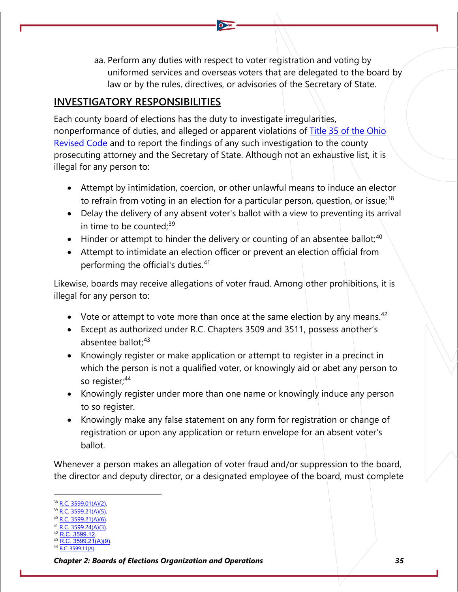aa. Perform any duties with respect to voter registration and voting by uniformed services and overseas voters that are delegated to the board by law or by the rules, directives, or advisories of the Secretary of State.

## **INVESTIGATORY RESPONSIBILITIES**

Each county board of elections has the duty to investigate irregularities, nonperformance of duties, and alleged or apparent violations of Title 35 of the Ohio [Revised Code](http://codes.ohio.gov/orc/35) and to report the findings of any such investigation to the county prosecuting attorney and the Secretary of State. Although not an exhaustive list, it is illegal for any person to:

- Attempt by intimidation, coercion, or other unlawful means to induce an elector to refrain from voting in an election for a particular person, question, or issue;<sup>[38](#page-27-0)</sup>
- Delay the delivery of any absent voter's ballot with a view to preventing its arrival in time to be counted: $39$
- Hinder or attempt to hinder the delivery or counting of an absentee ballot;  $40$
- Attempt to intimidate an election officer or prevent an election official from performing the official's duties.<sup>[41](#page-27-3)</sup>

Likewise, boards may receive allegations of voter fraud. Among other prohibitions, it is illegal for any person to:

- Vote or attempt to vote more than once at the same election by any means.  $42$
- Except as authorized under R.C. Chapters 3509 and 3511, possess another's absentee ballot: [43](#page-27-5)
- Knowingly register or make application or attempt to register in a precinct in which the person is not a qualified voter, or knowingly aid or abet any person to so register;<sup>[44](#page-27-6)</sup>
- Knowingly register under more than one name or knowingly induce any person to so register.
- Knowingly make any false statement on any form for registration or change of registration or upon any application or return envelope for an absent voter's ballot.

Whenever a person makes an allegation of voter fraud and/or suppression to the board, the director and deputy director, or a designated employee of the board, must complete

- <span id="page-27-1"></span>[R.C. 3599.21\(A\)\(5\).](http://codes.ohio.gov/orc/3599.21v1)
- <span id="page-27-2"></span>[R.C. 3599.21\(A\)\(6\).](http://codes.ohio.gov/orc/3599.21v1)
- <span id="page-27-3"></span>[R.C. 3599.24\(A\)\(3\).](http://codes.ohio.gov/orc/3599.24v1) [R.C. 3599.12.](https://codes.ohio.gov/ohio-revised-code/section-3599.12)
- <span id="page-27-5"></span><span id="page-27-4"></span>3599.21(A)(9).
- <span id="page-27-6"></span>3599.11(A).

<span id="page-27-0"></span>[R.C. 3599.01\(A\)\(2\).](http://codes.ohio.gov/orc/3599.01)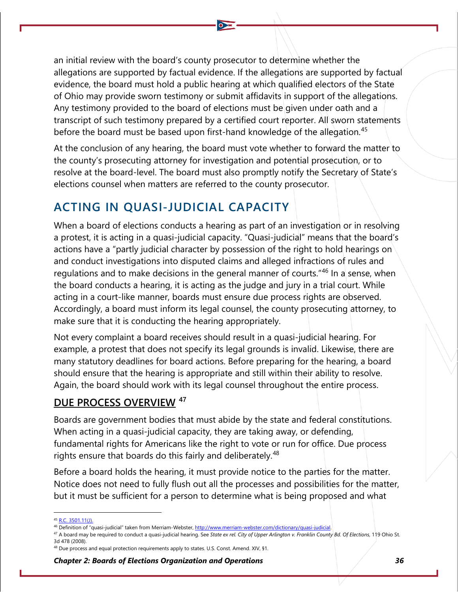an initial review with the board's county prosecutor to determine whether the allegations are supported by factual evidence. If the allegations are supported by factual evidence, the board must hold a public hearing at which qualified electors of the State of Ohio may provide sworn testimony or submit affidavits in support of the allegations. Any testimony provided to the board of elections must be given under oath and a transcript of such testimony prepared by a certified court reporter. All sworn statements before the board must be based upon first-hand knowledge of the allegation.<sup>[45](#page-28-0)</sup>

At the conclusion of any hearing, the board must vote whether to forward the matter to the county's prosecuting attorney for investigation and potential prosecution, or to resolve at the board-level. The board must also promptly notify the Secretary of State's elections counsel when matters are referred to the county prosecutor.

## **ACTING IN QUASI-JUDICIAL CAPACITY**

When a board of elections conducts a hearing as part of an investigation or in resolving a protest, it is acting in a quasi-judicial capacity. "Quasi-judicial" means that the board's actions have a "partly judicial character by possession of the right to hold hearings on and conduct investigations into disputed claims and alleged infractions of rules and regulations and to make decisions in the general manner of courts."[46](#page-28-1) In a sense, when the board conducts a hearing, it is acting as the judge and jury in a trial court. While acting in a court-like manner, boards must ensure due process rights are observed. Accordingly, a board must inform its legal counsel, the county prosecuting attorney, to make sure that it is conducting the hearing appropriately.

Not every complaint a board receives should result in a quasi-judicial hearing. For example, a protest that does not specify its legal grounds is invalid. Likewise, there are many statutory deadlines for board actions. Before preparing for the hearing, a board should ensure that the hearing is appropriate and still within their ability to resolve. Again, the board should work with its legal counsel throughout the entire process.

## **DUE PROCESS OVERVIEW [47](#page-28-2)**

Boards are government bodies that must abide by the state and federal constitutions. When acting in a quasi-judicial capacity, they are taking away, or defending, fundamental rights for Americans like the right to vote or run for office. Due process rights ensure that boards do this fairly and deliberately.<sup>[48](#page-28-3)</sup>

Before a board holds the hearing, it must provide notice to the parties for the matter. Notice does not need to fully flush out all the processes and possibilities for the matter, but it must be sufficient for a person to determine what is being proposed and what

 $5$  [R.C. 3501.11\(J\).](http://codes.ohio.gov/orc/3501.11)

<span id="page-28-1"></span><span id="page-28-0"></span><sup>46</sup> Definition of "quasi-judicial" taken from Merriam-Webster, [http://www.merriam-webster.com/dictionary/quasi-judicial.](http://www.merriam-webster.com/dictionary/quasi-judicial)

<span id="page-28-2"></span><sup>47</sup> A board may be required to conduct a quasi-judicial hearing. See *State ex rel. City of Upper Arlington v. Franklin County Bd. Of Elections*, 119 Ohio St. 3d 478 (2008).

<span id="page-28-3"></span><sup>48</sup> Due process and equal protection requirements apply to states. U.S. Const. Amend. XIV, §1.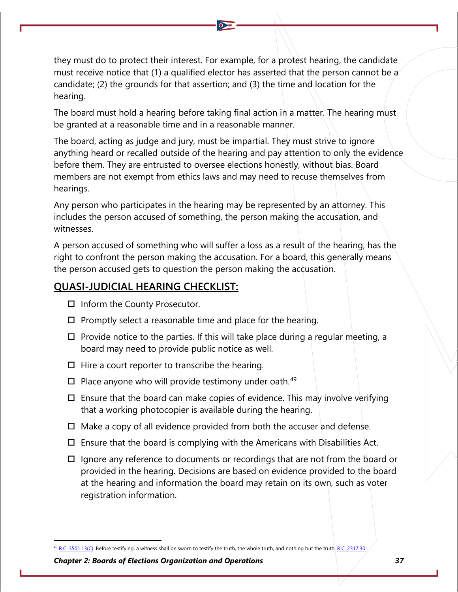they must do to protect their interest. For example, for a protest hearing, the candidate must receive notice that (1) a qualified elector has asserted that the person cannot be a candidate; (2) the grounds for that assertion; and (3) the time and location for the hearing.

The board must hold a hearing before taking final action in a matter. The hearing must be granted at a reasonable time and in a reasonable manner.

The board, acting as judge and jury, must be impartial. They must strive to ignore anything heard or recalled outside of the hearing and pay attention to only the evidence before them. They are entrusted to oversee elections honestly, without bias. Board members are not exempt from ethics laws and may need to recuse themselves from hearings.

Any person who participates in the hearing may be represented by an attorney. This includes the person accused of something, the person making the accusation, and witnesses.

A person accused of something who will suffer a loss as a result of the hearing, has the right to confront the person making the accusation. For a board, this generally means the person accused gets to question the person making the accusation.

## **QUASI-JUDICIAL HEARING CHECKLIST:**

- $\Box$  Inform the County Prosecutor.
- $\square$  Promptly select a reasonable time and place for the hearing.
- $\Box$  Provide notice to the parties. If this will take place during a regular meeting, a board may need to provide public notice as well.
- $\Box$  Hire a court reporter to transcribe the hearing.
- $\square$  Place anyone who will provide testimony under oath.<sup>[49](#page-29-0)</sup>
- $\square$  Ensure that the board can make copies of evidence. This may involve verifying that a working photocopier is available during the hearing.
- $\Box$  Make a copy of all evidence provided from both the accuser and defense.
- $\square$  Ensure that the board is complying with the Americans with Disabilities Act.
- $\Box$  Ignore any reference to documents or recordings that are not from the board or provided in the hearing. Decisions are based on evidence provided to the board at the hearing and information the board may retain on its own, such as voter registration information.

<span id="page-29-0"></span><sup>49</sup> [R.C. 3501.13\(C\).](http://codes.ohio.gov/orc/3501.13) Before testifying, a witness shall be sworn to testify the truth, the whole truth, and nothing but the truth. R.C. 2317.30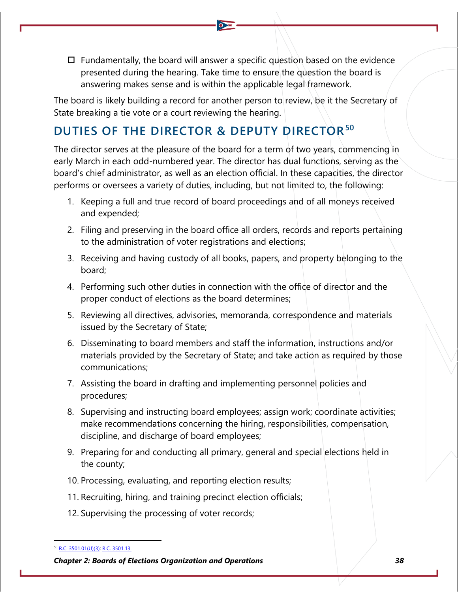$\Box$  Fundamentally, the board will answer a specific question based on the evidence presented during the hearing. Take time to ensure the question the board is answering makes sense and is within the applicable legal framework.

The board is likely building a record for another person to review, be it the Secretary of State breaking a tie vote or a court reviewing the hearing.

# **DUTIES OF THE DIRECTOR & DEPUTY DIRECTOR[50](#page-30-0)**

The director serves at the pleasure of the board for a term of two years, commencing in early March in each odd-numbered year. The director has dual functions, serving as the board's chief administrator, as well as an election official. In these capacities, the director performs or oversees a variety of duties, including, but not limited to, the following:

- 1. Keeping a full and true record of board proceedings and of all moneys received and expended;
- 2. Filing and preserving in the board office all orders, records and reports pertaining to the administration of voter registrations and elections;
- 3. Receiving and having custody of all books, papers, and property belonging to the board;
- 4. Performing such other duties in connection with the office of director and the proper conduct of elections as the board determines;
- 5. Reviewing all directives, advisories, memoranda, correspondence and materials issued by the Secretary of State;
- 6. Disseminating to board members and staff the information, instructions and/or materials provided by the Secretary of State; and take action as required by those communications;
- 7. Assisting the board in drafting and implementing personnel policies and procedures;
- 8. Supervising and instructing board employees; assign work; coordinate activities; make recommendations concerning the hiring, responsibilities, compensation, discipline, and discharge of board employees;
- 9. Preparing for and conducting all primary, general and special elections held in the county;
- 10. Processing, evaluating, and reporting election results;
- 11. Recruiting, hiring, and training precinct election officials;
- 12. Supervising the processing of voter records;

<span id="page-30-0"></span><sup>50</sup> [R.C. 3501.01\(U\)\(3\);](http://codes.ohio.gov/orc/3501.01) [R.C. 3501.13.](http://codes.ohio.gov/orc/3501.13)

*Chapter 2: Boards of Elections Organization and Operations 38*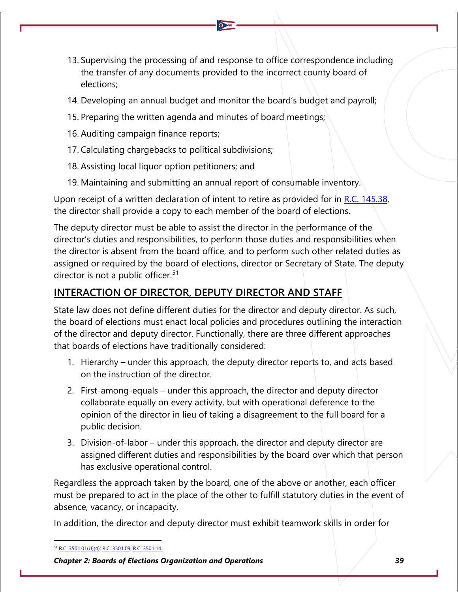- 13. Supervising the processing of and response to office correspondence including the transfer of any documents provided to the incorrect county board of elections;
- 14. Developing an annual budget and monitor the board's budget and payroll;
- 15. Preparing the written agenda and minutes of board meetings;
- 16. Auditing campaign finance reports;
- 17. Calculating chargebacks to political subdivisions;
- 18. Assisting local liquor option petitioners; and
- 19. Maintaining and submitting an annual report of consumable inventory.

Upon receipt of a written declaration of intent to retire as provided for in [R.C. 145.38,](http://codes.ohio.gov/orc/145.38) the director shall provide a copy to each member of the board of elections.

The deputy director must be able to assist the director in the performance of the director's duties and responsibilities, to perform those duties and responsibilities when the director is absent from the board office, and to perform such other related duties as assigned or required by the board of elections, director or Secretary of State. The deputy director is not a public officer.<sup>[51](#page-31-0)</sup>

## **INTERACTION OF DIRECTOR, DEPUTY DIRECTOR AND STAFF**

State law does not define different duties for the director and deputy director. As such, the board of elections must enact local policies and procedures outlining the interaction of the director and deputy director. Functionally, there are three different approaches that boards of elections have traditionally considered:

- 1. Hierarchy under this approach, the deputy director reports to, and acts based on the instruction of the director.
- 2. First-among-equals under this approach, the director and deputy director collaborate equally on every activity, but with operational deference to the opinion of the director in lieu of taking a disagreement to the full board for a public decision.
- 3. Division-of-labor under this approach, the director and deputy director are assigned different duties and responsibilities by the board over which that person has exclusive operational control.

Regardless the approach taken by the board, one of the above or another, each officer must be prepared to act in the place of the other to fulfill statutory duties in the event of absence, vacancy, or incapacity.

In addition, the director and deputy director must exhibit teamwork skills in order for

<span id="page-31-0"></span><sup>51</sup> [R.C. 3501.01\(U\)\(4\);](http://codes.ohio.gov/orc/3501.01) [R.C. 3501.09;](http://codes.ohio.gov/orc/3501.09) [R.C. 3501.14.](http://codes.ohio.gov/orc/3501.14)

*Chapter 2: Boards of Elections Organization and Operations 39*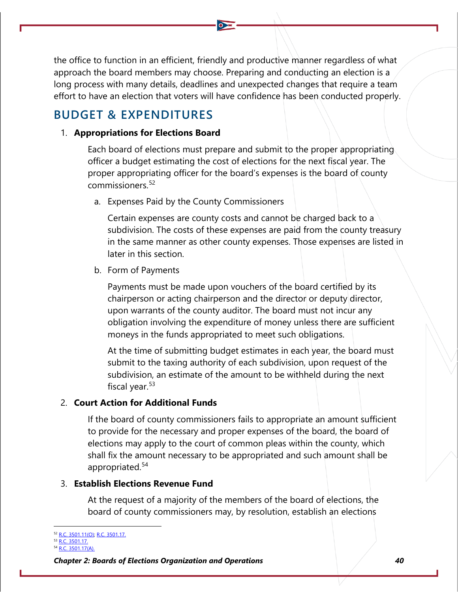the office to function in an efficient, friendly and productive manner regardless of what approach the board members may choose. Preparing and conducting an election is a long process with many details, deadlines and unexpected changes that require a team effort to have an election that voters will have confidence has been conducted properly.

## **BUDGET & EXPENDITURES**

## 1. **Appropriations for Elections Board**

Each board of elections must prepare and submit to the proper appropriating officer a budget estimating the cost of elections for the next fiscal year. The proper appropriating officer for the board's expenses is the board of county commissioners.[52](#page-32-0)

a. Expenses Paid by the County Commissioners

Certain expenses are county costs and cannot be charged back to a subdivision. The costs of these expenses are paid from the county treasury in the same manner as other county expenses. Those expenses are listed in later in this section.

b. Form of Payments

Payments must be made upon vouchers of the board certified by its chairperson or acting chairperson and the director or deputy director, upon warrants of the county auditor. The board must not incur any obligation involving the expenditure of money unless there are sufficient moneys in the funds appropriated to meet such obligations.

At the time of submitting budget estimates in each year, the board must submit to the taxing authority of each subdivision, upon request of the subdivision, an estimate of the amount to be withheld during the next fiscal year. $53$ 

## 2. **Court Action for Additional Funds**

If the board of county commissioners fails to appropriate an amount sufficient to provide for the necessary and proper expenses of the board, the board of elections may apply to the court of common pleas within the county, which shall fix the amount necessary to be appropriated and such amount shall be appropriated.<sup>[54](#page-32-2)</sup>

## 3. **Establish Elections Revenue Fund**

At the request of a majority of the members of the board of elections, the board of county commissioners may, by resolution, establish an elections

<span id="page-32-0"></span><sup>&</sup>lt;sup>2</sup> [R.C. 3501.11\(O\);](http://codes.ohio.gov/orc/3501.11) [R.C. 3501.17.](http://codes.ohio.gov/orc/3501.17)

<span id="page-32-1"></span> $\overline{R}$ .C. 3501.17.

<span id="page-32-2"></span><sup>3501.17(</sup>A).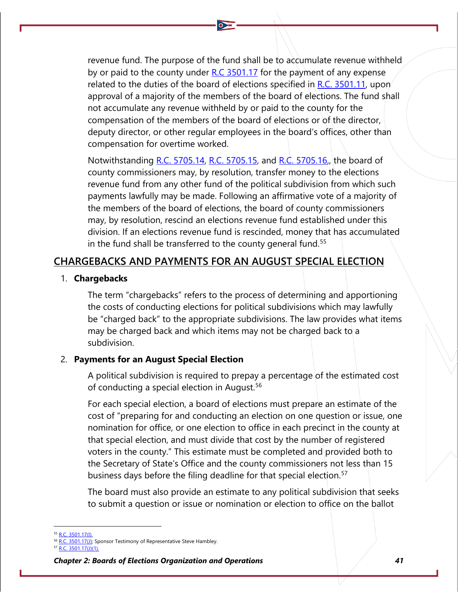revenue fund. The purpose of the fund shall be to accumulate revenue withheld by or paid to the county under [R.C 3501.17](http://codes.ohio.gov/orc/3501.17) for the payment of any expense related to the duties of the board of elections specified in [R.C. 3501.11,](http://codes.ohio.gov/orc/3501.11) upon approval of a majority of the members of the board of elections. The fund shall not accumulate any revenue withheld by or paid to the county for the compensation of the members of the board of elections or of the director, deputy director, or other regular employees in the board's offices, other than compensation for overtime worked.

Notwithstanding [R.C. 5705.14,](http://codes.ohio.gov/orc/5705.14) [R.C. 5705.15,](http://codes.ohio.gov/orc/5705.15) and [R.C. 5705.16,](http://codes.ohio.gov/orc/5705.16), the board of county commissioners may, by resolution, transfer money to the elections revenue fund from any other fund of the political subdivision from which such payments lawfully may be made. Following an affirmative vote of a majority of the members of the board of elections, the board of county commissioners may, by resolution, rescind an elections revenue fund established under this division. If an elections revenue fund is rescinded, money that has accumulated in the fund shall be transferred to the county general fund.<sup>[55](#page-33-0)</sup>

## **CHARGEBACKS AND PAYMENTS FOR AN AUGUST SPECIAL ELECTION**

### 1. **Chargebacks**

The term "chargebacks" refers to the process of determining and apportioning the costs of conducting elections for political subdivisions which may lawfully be "charged back" to the appropriate subdivisions. The law provides what items may be charged back and which items may not be charged back to a subdivision.

## 2. **Payments for an August Special Election**

A political subdivision is required to prepay a percentage of the estimated cost of conducting a special election in August.<sup>[56](#page-33-1)</sup>

For each special election, a board of elections must prepare an estimate of the cost of "preparing for and conducting an election on one question or issue, one nomination for office, or one election to office in each precinct in the county at that special election, and must divide that cost by the number of registered voters in the county." This estimate must be completed and provided both to the Secretary of State's Office and the county commissioners not less than 15 business days before the filing deadline for that special election.<sup>[57](#page-33-2)</sup>

The board must also provide an estimate to any political subdivision that seeks to submit a question or issue or nomination or election to office on the ballot

<span id="page-33-0"></span><sup>&</sup>lt;sup>55</sup> [R.C. 3501.17\(I\).](http://codes.ohio.gov/orc/3501.17)

<sup>&</sup>lt;sup>6</sup> [R.C. 3501.17\(J\);](http://codes.ohio.gov/orc/3501.17) Sponsor Testimony of Representative Steve Hambley.

<span id="page-33-2"></span><span id="page-33-1"></span><sup>57</sup> [R.C. 3501.17\(J\)\(1\).](http://codes.ohio.gov/orc/3501.17)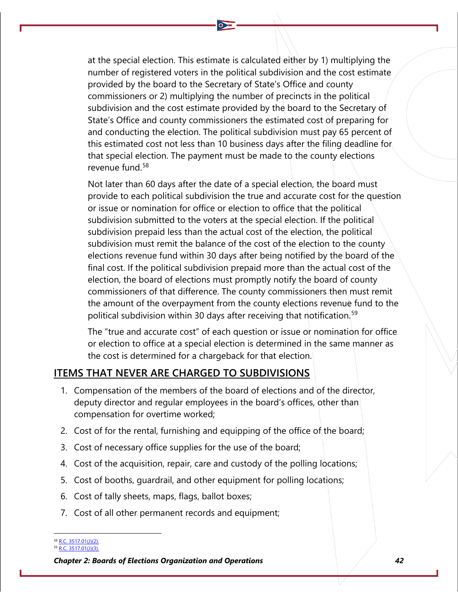at the special election. This estimate is calculated either by 1) multiplying the number of registered voters in the political subdivision and the cost estimate provided by the board to the Secretary of State's Office and county commissioners or 2) multiplying the number of precincts in the political subdivision and the cost estimate provided by the board to the Secretary of State's Office and county commissioners the estimated cost of preparing for and conducting the election. The political subdivision must pay 65 percent of this estimated cost not less than 10 business days after the filing deadline for that special election. The payment must be made to the county elections revenue fund.[58](#page-34-0)

Not later than 60 days after the date of a special election, the board must provide to each political subdivision the true and accurate cost for the question or issue or nomination for office or election to office that the political subdivision submitted to the voters at the special election. If the political subdivision prepaid less than the actual cost of the election, the political subdivision must remit the balance of the cost of the election to the county elections revenue fund within 30 days after being notified by the board of the final cost. If the political subdivision prepaid more than the actual cost of the election, the board of elections must promptly notify the board of county commissioners of that difference. The county commissioners then must remit the amount of the overpayment from the county elections revenue fund to the political subdivision within 30 days after receiving that notification.<sup>[59](#page-34-1)</sup>

The "true and accurate cost" of each question or issue or nomination for office or election to office at a special election is determined in the same manner as the cost is determined for a chargeback for that election.

## **ITEMS THAT NEVER ARE CHARGED TO SUBDIVISIONS**

- 1. Compensation of the members of the board of elections and of the director, deputy director and regular employees in the board's offices, other than compensation for overtime worked;
- 2. Cost of for the rental, furnishing and equipping of the office of the board;
- 3. Cost of necessary office supplies for the use of the board;
- 4. Cost of the acquisition, repair, care and custody of the polling locations;
- 5. Cost of booths, guardrail, and other equipment for polling locations;
- 6. Cost of tally sheets, maps, flags, ballot boxes;
- 7. Cost of all other permanent records and equipment;

<span id="page-34-1"></span><span id="page-34-0"></span><sup>&</sup>lt;sup>8</sup> [R.C. 3517.01\(J\)\(2\).](http://codes.ohio.gov/orc/3517.01)

<sup>59</sup> [R.C. 3517.01\(J\)\(3\).](http://codes.ohio.gov/orc/3517.01)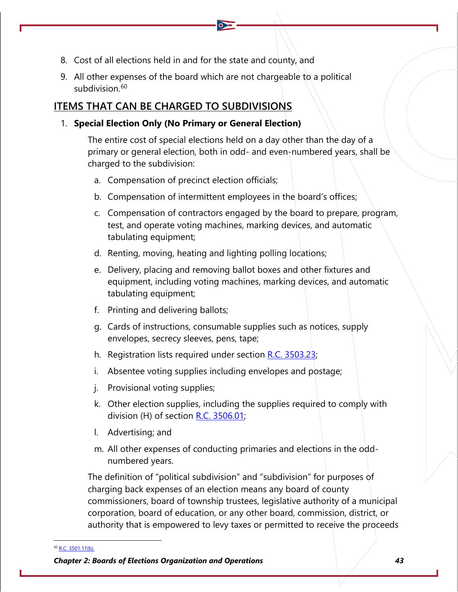- 8. Cost of all elections held in and for the state and county, and
- 9. All other expenses of the board which are not chargeable to a political subdivision. $60$

## **ITEMS THAT CAN BE CHARGED TO SUBDIVISIONS**

## 1. **Special Election Only (No Primary or General Election)**

The entire cost of special elections held on a day other than the day of a primary or general election, both in odd- and even-numbered years, shall be charged to the subdivision:

- a. Compensation of precinct election officials;
- b. Compensation of intermittent employees in the board's offices;
- c. Compensation of contractors engaged by the board to prepare, program, test, and operate voting machines, marking devices, and automatic tabulating equipment;
- d. Renting, moving, heating and lighting polling locations;
- e. Delivery, placing and removing ballot boxes and other fixtures and equipment, including voting machines, marking devices, and automatic tabulating equipment;
- f. Printing and delivering ballots;
- g. Cards of instructions, consumable supplies such as notices, supply envelopes, secrecy sleeves, pens, tape;
- h. Registration lists required under section [R.C. 3503.23;](http://codes.ohio.gov/orc/3503.23)
- i. Absentee voting supplies including envelopes and postage;
- j. Provisional voting supplies;
- k. Other election supplies, including the supplies required to comply with division (H) of section [R.C. 3506.01;](http://codes.ohio.gov/orc/3506.01)
- l. Advertising; and
- m. All other expenses of conducting primaries and elections in the oddnumbered years.

The definition of "political subdivision" and "subdivision" for purposes of charging back expenses of an election means any board of county commissioners, board of township trustees, legislative authority of a municipal corporation, board of education, or any other board, commission, district, or authority that is empowered to levy taxes or permitted to receive the proceeds

<span id="page-35-0"></span><sup>60</sup> [R.C. 3501.17\(b\).](http://codes.ohio.gov/orc/3501.17)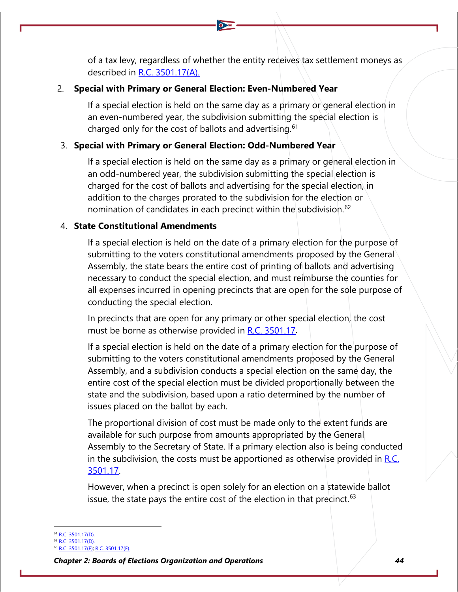of a tax levy, regardless of whether the entity receives tax settlement moneys as described in [R.C. 3501.17\(A\).](http://codes.ohio.gov/orc/3501.17)

## 2. **Special with Primary or General Election: Even-Numbered Year**

If a special election is held on the same day as a primary or general election in an even-numbered year, the subdivision submitting the special election is charged only for the cost of ballots and advertising.  $61$ 

## 3. **Special with Primary or General Election: Odd-Numbered Year**

If a special election is held on the same day as a primary or general election in an odd-numbered year, the subdivision submitting the special election is charged for the cost of ballots and advertising for the special election, in addition to the charges prorated to the subdivision for the election or nomination of candidates in each precinct within the subdivision.<sup>[62](#page-36-1)</sup>

## 4. **State Constitutional Amendments**

If a special election is held on the date of a primary election for the purpose of submitting to the voters constitutional amendments proposed by the General Assembly, the state bears the entire cost of printing of ballots and advertising necessary to conduct the special election, and must reimburse the counties for all expenses incurred in opening precincts that are open for the sole purpose of conducting the special election.

In precincts that are open for any primary or other special election, the cost must be borne as otherwise provided in [R.C. 3501.17.](http://codes.ohio.gov/orc/3501.17)

If a special election is held on the date of a primary election for the purpose of submitting to the voters constitutional amendments proposed by the General Assembly, and a subdivision conducts a special election on the same day, the entire cost of the special election must be divided proportionally between the state and the subdivision, based upon a ratio determined by the number of issues placed on the ballot by each.

The proportional division of cost must be made only to the extent funds are available for such purpose from amounts appropriated by the General Assembly to the Secretary of State. If a primary election also is being conducted in the subdivision, the costs must be apportioned as otherwise provided in  $R.C.$ [3501.17.](http://codes.ohio.gov/orc/3501.17)

However, when a precinct is open solely for an election on a statewide ballot issue, the state pays the entire cost of the election in that precinct.  $63$ 

<span id="page-36-1"></span><span id="page-36-0"></span><sup>&</sup>lt;sup>51</sup> [R.C. 3501.17\(D\).](http://codes.ohio.gov/orc/3501.17)

 $\overline{P}$  [R.C. 3501.17\(D\).](http://codes.ohio.gov/orc/3501.17)

<span id="page-36-2"></span>[R.C. 3501.17\(E\); R.C. 3501.17\(F\).](http://codes.ohio.gov/orc/3501.17)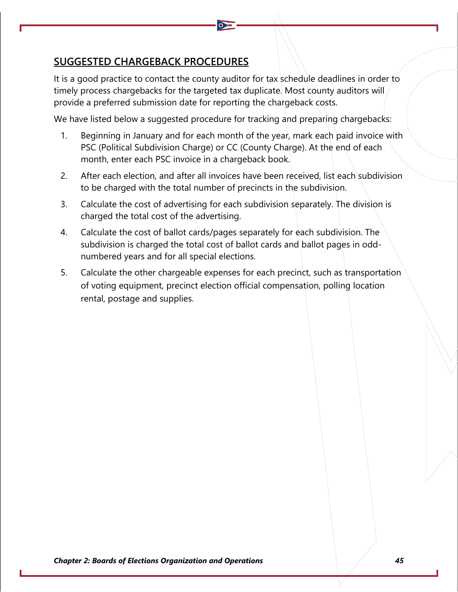## **SUGGESTED CHARGEBACK PROCEDURES**

It is a good practice to contact the county auditor for tax schedule deadlines in order to timely process chargebacks for the targeted tax duplicate. Most county auditors will provide a preferred submission date for reporting the chargeback costs.

We have listed below a suggested procedure for tracking and preparing chargebacks:

- 1. Beginning in January and for each month of the year, mark each paid invoice with PSC (Political Subdivision Charge) or CC (County Charge). At the end of each month, enter each PSC invoice in a chargeback book.
- 2. After each election, and after all invoices have been received, list each subdivision to be charged with the total number of precincts in the subdivision.
- 3. Calculate the cost of advertising for each subdivision separately. The division is charged the total cost of the advertising.
- 4. Calculate the cost of ballot cards/pages separately for each subdivision. The subdivision is charged the total cost of ballot cards and ballot pages in oddnumbered years and for all special elections.
- 5. Calculate the other chargeable expenses for each precinct, such as transportation of voting equipment, precinct election official compensation, polling location rental, postage and supplies.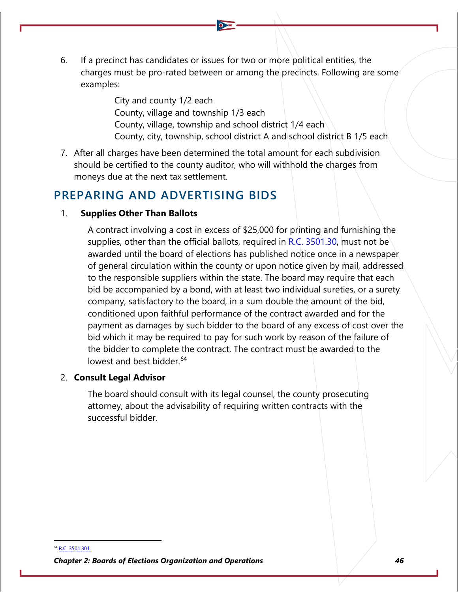6. If a precinct has candidates or issues for two or more political entities, the charges must be pro-rated between or among the precincts. Following are some examples:

> City and county 1/2 each County, village and township 1/3 each County, village, township and school district  $1/4$  each County, city, township, school district A and school district B 1/5 each

7. After all charges have been determined the total amount for each subdivision should be certified to the county auditor, who will withhold the charges from moneys due at the next tax settlement.

## **PREPARING AND ADVERTISING BIDS**

## 1. **Supplies Other Than Ballots**

A contract involving a cost in excess of \$25,000 for printing and furnishing the supplies, other than the official ballots, required in  $R.C. 3501.30$ , must not be awarded until the board of elections has published notice once in a newspaper of general circulation within the county or upon notice given by mail, addressed to the responsible suppliers within the state. The board may require that each bid be accompanied by a bond, with at least two individual sureties, or a surety company, satisfactory to the board, in a sum double the amount of the bid, conditioned upon faithful performance of the contract awarded and for the payment as damages by such bidder to the board of any excess of cost over the bid which it may be required to pay for such work by reason of the failure of the bidder to complete the contract. The contract must be awarded to the lowest and best bidder.<sup>[64](#page-38-0)</sup>

## 2. **Consult Legal Advisor**

The board should consult with its legal counsel, the county prosecuting attorney, about the advisability of requiring written contracts with the successful bidder.

<span id="page-38-0"></span><sup>64</sup> [R.C. 3501.301.](http://codes.ohio.gov/orc/3501.301)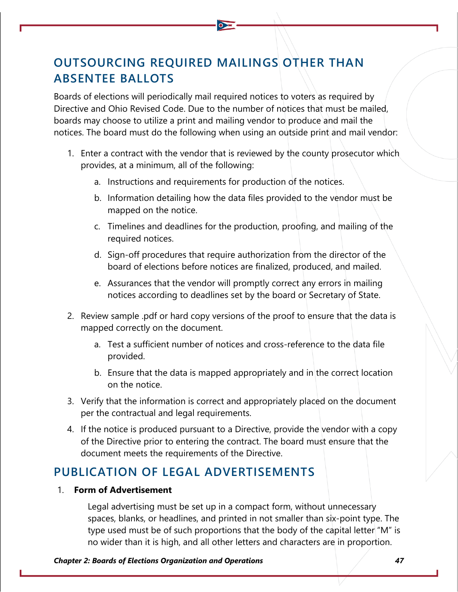# **OUTSOURCING REQUIRED MAILINGS OTHER THAN ABSENTEE BALLOTS**

Boards of elections will periodically mail required notices to voters as required by Directive and Ohio Revised Code. Due to the number of notices that must be mailed, boards may choose to utilize a print and mailing vendor to produce and mail the notices. The board must do the following when using an outside print and mail vendor:

- 1. Enter a contract with the vendor that is reviewed by the county prosecutor which provides, at a minimum, all of the following:
	- a. Instructions and requirements for production of the notices.
	- b. Information detailing how the data files provided to the vendor must be mapped on the notice.
	- c. Timelines and deadlines for the production, proofing, and mailing of the required notices.
	- d. Sign-off procedures that require authorization from the director of the board of elections before notices are finalized, produced, and mailed.
	- e. Assurances that the vendor will promptly correct any errors in mailing notices according to deadlines set by the board or Secretary of State.
- 2. Review sample .pdf or hard copy versions of the proof to ensure that the data is mapped correctly on the document.
	- a. Test a sufficient number of notices and cross-reference to the data file provided.
	- b. Ensure that the data is mapped appropriately and in the correct location on the notice.
- 3. Verify that the information is correct and appropriately placed on the document per the contractual and legal requirements.
- 4. If the notice is produced pursuant to a Directive, provide the vendor with a copy of the Directive prior to entering the contract. The board must ensure that the document meets the requirements of the Directive.

## **PUBLICATION OF LEGAL ADVERTISEMENTS**

## 1. **Form of Advertisement**

Legal advertising must be set up in a compact form, without unnecessary spaces, blanks, or headlines, and printed in not smaller than six-point type. The type used must be of such proportions that the body of the capital letter "M" is no wider than it is high, and all other letters and characters are in proportion.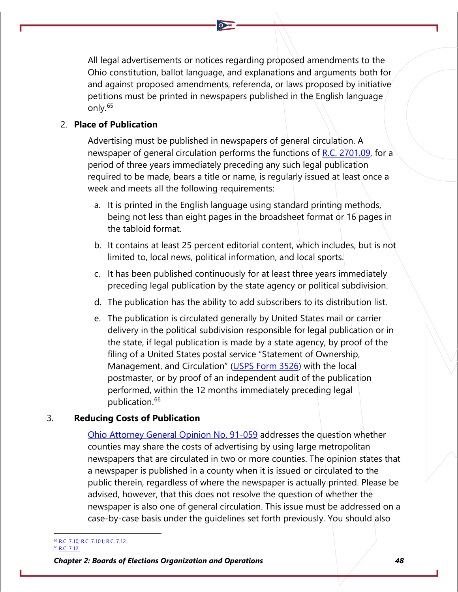All legal advertisements or notices regarding proposed amendments to the Ohio constitution, ballot language, and explanations and arguments both for and against proposed amendments, referenda, or laws proposed by initiative petitions must be printed in newspapers published in the English language only.[65](#page-40-0)

## 2. **Place of Publication**

Advertising must be published in newspapers of general circulation. A newspaper of general circulation performs the functions of [R.C. 2701.09,](http://codes.ohio.gov/orc/2701.09) for a period of three years immediately preceding any such legal publication required to be made, bears a title or name, is regularly issued at least once a week and meets all the following requirements:

- a. It is printed in the English language using standard printing methods, being not less than eight pages in the broadsheet format or 16 pages in the tabloid format.
- b. It contains at least 25 percent editorial content, which includes, but is not limited to, local news, political information, and local sports.
- c. It has been published continuously for at least three years immediately preceding legal publication by the state agency or political subdivision.
- d. The publication has the ability to add subscribers to its distribution list.
- e. The publication is circulated generally by United States mail or carrier delivery in the political subdivision responsible for legal publication or in the state, if legal publication is made by a state agency, by proof of the filing of a United States postal service "Statement of Ownership, Management, and Circulation" [\(USPS Form 3526\)](https://about.usps.com/forms/ps3526.pdf) with the local postmaster, or by proof of an independent audit of the publication performed, within the 12 months immediately preceding legal publication.<sup>[66](#page-40-1)</sup>

## 3. **Reducing Costs of Publication**

[Ohio Attorney General Opinion No. 91-059](https://www.ohioattorneygeneral.gov/getattachment/b3a93b00-7faf-413c-9305-ef59a2ca76a2/1991-059.aspx) addresses the question whether counties may share the costs of advertising by using large metropolitan newspapers that are circulated in two or more counties. The opinion states that a newspaper is published in a county when it is issued or circulated to the public therein, regardless of where the newspaper is actually printed. Please be advised, however, that this does not resolve the question of whether the newspaper is also one of general circulation. This issue must be addressed on a case-by-case basis under the guidelines set forth previously. You should also

<span id="page-40-1"></span><span id="page-40-0"></span><sup>&</sup>lt;sup>55</sup> [R.C. 7.10;](http://codes.ohio.gov/orc/gp7.10) [R.C. 7.101;](http://codes.ohio.gov/orc/gp7.101) [R.C. 7.12.](http://codes.ohio.gov/orc/gp7.12) [R.C. 7.12.](http://codes.ohio.gov/orc/gp7.12)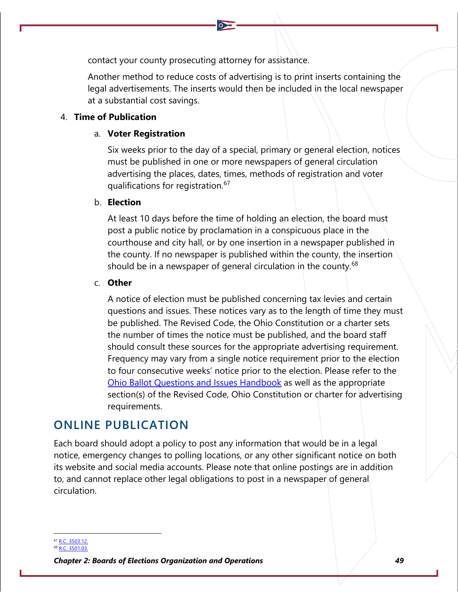contact your county prosecuting attorney for assistance.

Another method to reduce costs of advertising is to print inserts containing the legal advertisements. The inserts would then be included in the local newspaper at a substantial cost savings.

## 4. **Time of Publication**

## a. **Voter Registration**

Six weeks prior to the day of a special, primary or general election, notices must be published in one or more newspapers of general circulation advertising the places, dates, times, methods of registration and voter qualifications for registration.<sup>[67](#page-41-0)</sup>

## b. **Election**

At least 10 days before the time of holding an election, the board must post a public notice by proclamation in a conspicuous place in the courthouse and city hall, or by one insertion in a newspaper published in the county. If no newspaper is published within the county, the insertion should be in a newspaper of general circulation in the county.<sup>[68](#page-41-1)</sup>

## c. **Other**

A notice of election must be published concerning tax levies and certain questions and issues. These notices vary as to the length of time they must be published. The Revised Code, the Ohio Constitution or a charter sets the number of times the notice must be published, and the board staff should consult these sources for the appropriate advertising requirement. Frequency may vary from a single notice requirement prior to the election to four consecutive weeks' notice prior to the election. Please refer to the [Ohio Ballot Questions and Issues Handbook](https://www.sos.state.oh.us/globalassets/elections/eoresources/general/questionsandissues.pdf) as well as the appropriate section(s) of the Revised Code, Ohio Constitution or charter for advertising requirements.

## **ONLINE PUBLICATION**

Each board should adopt a policy to post any information that would be in a legal notice, emergency changes to polling locations, or any other significant notice on both its website and social media accounts. Please note that online postings are in addition to, and cannot replace other legal obligations to post in a newspaper of general circulation.

<span id="page-41-0"></span><sup>7</sup> [R.C. 3503.12.](http://codes.ohio.gov/orc/3503.12)

<span id="page-41-1"></span><sup>68</sup> [R.C. 3501.03.](http://codes.ohio.gov/orc/3501.03)

*Chapter 2: Boards of Elections Organization and Operations 49*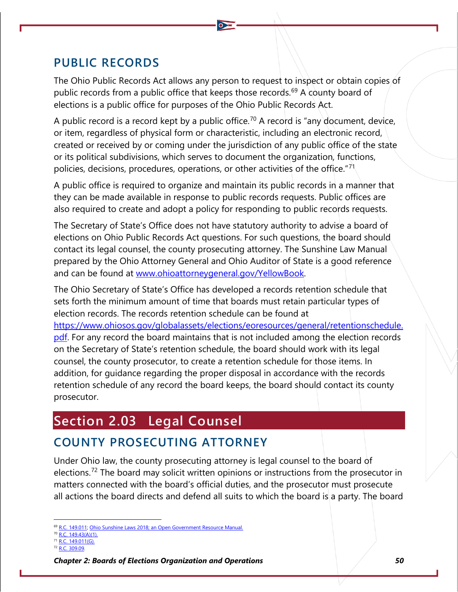## **PUBLIC RECORDS**

The Ohio Public Records Act allows any person to request to inspect or obtain copies of public records from a public office that keeps those records.<sup>[69](#page-42-0)</sup> A county board of elections is a public office for purposes of the Ohio Public Records Act.

A public record is a record kept by a public office.<sup>[70](#page-42-1)</sup> A record is "any document, device, or item, regardless of physical form or characteristic, including an electronic record, created or received by or coming under the jurisdiction of any public office of the state or its political subdivisions, which serves to document the organization, functions, policies, decisions, procedures, operations, or other activities of the office."<sup>[71](#page-42-2)</sup>

A public office is required to organize and maintain its public records in a manner that they can be made available in response to public records requests. Public offices are also required to create and adopt a policy for responding to public records requests.

The Secretary of State's Office does not have statutory authority to advise a board of elections on Ohio Public Records Act questions. For such questions, the board should contact its legal counsel, the county prosecuting attorney. The Sunshine Law Manual prepared by the Ohio Attorney General and Ohio Auditor of State is a good reference and can be found at [www.ohioattorneygeneral.gov/YellowBook.](http://www.ohioattorneygeneral.gov/YellowBook)

The Ohio Secretary of State's Office has developed a records retention schedule that sets forth the minimum amount of time that boards must retain particular types of election records. The records retention schedule can be found at [https://www.ohiosos.gov/globalassets/elections/eoresources/general/retentionschedule.](https://www.ohiosos.gov/globalassets/elections/eoresources/general/retentionschedule.pdf) [pdf.](https://www.ohiosos.gov/globalassets/elections/eoresources/general/retentionschedule.pdf) For any record the board maintains that is not included among the election records on the Secretary of State's retention schedule, the board should work with its legal counsel, the county prosecutor, to create a retention schedule for those items. In addition, for guidance regarding the proper disposal in accordance with the records retention schedule of any record the board keeps, the board should contact its county prosecutor.

# **Section 2.03 Legal Counsel**

# **COUNTY PROSECUTING ATTORNEY**

Under Ohio law, the county prosecuting attorney is legal counsel to the board of elections.<sup>[72](#page-42-3)</sup> The board may solicit written opinions or instructions from the prosecutor in matters connected with the board's official duties, and the prosecutor must prosecute all actions the board directs and defend all suits to which the board is a party. The board

<span id="page-42-1"></span><span id="page-42-0"></span>[R.C. 149.011;](http://codes.ohio.gov/orc/149.011) Ohio Sunshine Laws 2018; an Open Government Resource Manual

<span id="page-42-2"></span><sup>70</sup> [R.C. 149.43\(A\)\(1\).](http://codes.ohio.gov/orc/149.43)

<sup>71</sup> [R.C. 149.011\(G\).](http://codes.ohio.gov/orc/149.011)

<span id="page-42-3"></span><sup>72</sup> [R.C. 309.09.](http://codes.ohio.gov/orc/309.09)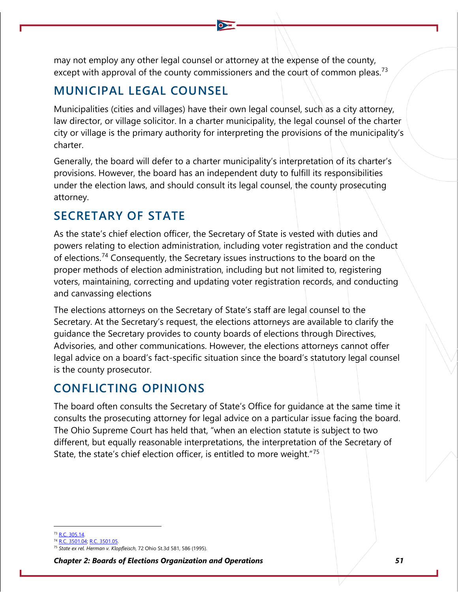may not employ any other legal counsel or attorney at the expense of the county, except with approval of the county commissioners and the court of common pleas.<sup>[73](#page-43-0)</sup>

## **MUNICIPAL LEGAL COUNSEL**

Municipalities (cities and villages) have their own legal counsel, such as a city attorney, law director, or village solicitor. In a charter municipality, the legal counsel of the charter city or village is the primary authority for interpreting the provisions of the municipality's charter.

Generally, the board will defer to a charter municipality's interpretation of its charter's provisions. However, the board has an independent duty to fulfill its responsibilities under the election laws, and should consult its legal counsel, the county prosecuting attorney.

## **SECRETARY OF STATE**

As the state's chief election officer, the Secretary of State is vested with duties and powers relating to election administration, including voter registration and the conduct of elections.[74](#page-43-1) Consequently, the Secretary issues instructions to the board on the proper methods of election administration, including but not limited to, registering voters, maintaining, correcting and updating voter registration records, and conducting and canvassing elections

The elections attorneys on the Secretary of State's staff are legal counsel to the Secretary. At the Secretary's request, the elections attorneys are available to clarify the guidance the Secretary provides to county boards of elections through Directives, Advisories, and other communications. However, the elections attorneys cannot offer legal advice on a board's fact-specific situation since the board's statutory legal counsel is the county prosecutor.

## **CONFLICTING OPINIONS**

The board often consults the Secretary of State's Office for guidance at the same time it consults the prosecuting attorney for legal advice on a particular issue facing the board. The Ohio Supreme Court has held that, "when an election statute is subject to two different, but equally reasonable interpretations, the interpretation of the Secretary of State, the state's chief election officer, is entitled to more weight."<sup>[75](#page-43-2)</sup>

<sup>73</sup> [R.C. 305.14.](http://codes.ohio.gov/orc/305.14)

<span id="page-43-1"></span><span id="page-43-0"></span><sup>74</sup> [R.C. 3501.04;](http://codes.ohio.gov/orc/3501.04) [R.C. 3501.05.](http://codes.ohio.gov/orc/3501.05)

<span id="page-43-2"></span><sup>75</sup> *State ex rel. Herman v. Klopfleisch*, 72 Ohio St.3d 581, 586 (1995).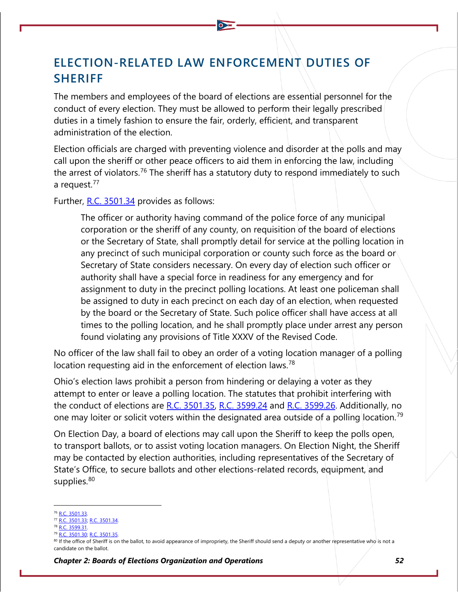# **ELECTION-RELATED LAW ENFORCEMENT DUTIES OF SHERIFF**

The members and employees of the board of elections are essential personnel for the conduct of every election. They must be allowed to perform their legally prescribed duties in a timely fashion to ensure the fair, orderly, efficient, and transparent administration of the election.

Election officials are charged with preventing violence and disorder at the polls and may call upon the sheriff or other peace officers to aid them in enforcing the law, including the arrest of violators.<sup>[76](#page-44-0)</sup> The sheriff has a statutory duty to respond immediately to such a request.<sup>[77](#page-44-1)</sup>

Further, [R.C. 3501.34](http://codes.ohio.gov/orc/3501.34) provides as follows:

The officer or authority having command of the police force of any municipal corporation or the sheriff of any county, on requisition of the board of elections or the Secretary of State, shall promptly detail for service at the polling location in any precinct of such municipal corporation or county such force as the board or Secretary of State considers necessary. On every day of election such officer or authority shall have a special force in readiness for any emergency and for assignment to duty in the precinct polling locations. At least one policeman shall be assigned to duty in each precinct on each day of an election, when requested by the board or the Secretary of State. Such police officer shall have access at all times to the polling location, and he shall promptly place under arrest any person found violating any provisions of Title XXXV of the Revised Code.

No officer of the law shall fail to obey an order of a voting location manager of a polling location requesting aid in the enforcement of election laws.<sup>[78](#page-44-2)</sup>

Ohio's election laws prohibit a person from hindering or delaying a voter as they attempt to enter or leave a polling location. The statutes that prohibit interfering with the conduct of elections are  $R.C. 3501.35$ , R.C.  $3599.24$  and  $R.C. 3599.26$ . Additionally, no one may loiter or solicit voters within the designated area outside of a polling location.<sup>[79](#page-44-3)</sup>

On Election Day, a board of elections may call upon the Sheriff to keep the polls open, to transport ballots, or to assist voting location managers. On Election Night, the Sheriff may be contacted by election authorities, including representatives of the Secretary of State's Office, to secure ballots and other elections-related records, equipment, and supplies.<sup>[80](#page-44-4)</sup>

<span id="page-44-0"></span>[R.C. 3501.33.](http://codes.ohio.gov/orc/3501.33)

<span id="page-44-1"></span><sup>77</sup> [R.C. 3501.33;](http://codes.ohio.gov/orc/3501.33) [R.C. 3501.34.](http://codes.ohio.gov/orc/3501.34)

<span id="page-44-2"></span>[R.C. 3599.31.](http://codes.ohio.gov/orc/3599.31)

<span id="page-44-3"></span><sup>79</sup> [R.C. 3501.30;](http://codes.ohio.gov/orc/3501.30) [R.C. 3501.35.](http://codes.ohio.gov/orc/3501.35)

<span id="page-44-4"></span><sup>&</sup>lt;sup>80</sup> If the office of Sheriff is on the ballot, to avoid appearance of impropriety, the Sheriff should send a deputy or another representative who is not a candidate on the ballot.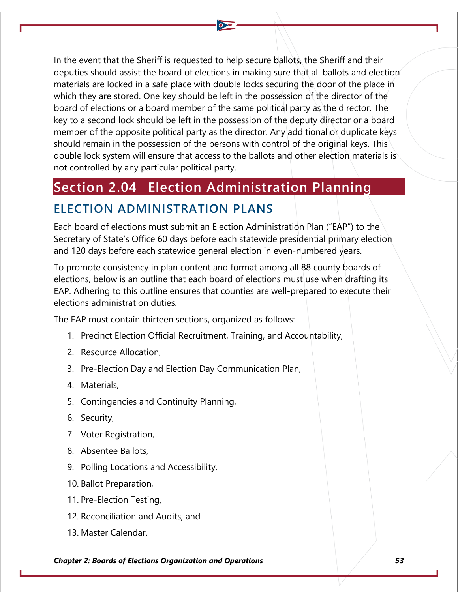In the event that the Sheriff is requested to help secure ballots, the Sheriff and their deputies should assist the board of elections in making sure that all ballots and election materials are locked in a safe place with double locks securing the door of the place in which they are stored. One key should be left in the possession of the director of the board of elections or a board member of the same political party as the director. The key to a second lock should be left in the possession of the deputy director or a board member of the opposite political party as the director. Any additional or duplicate keys should remain in the possession of the persons with control of the original keys. This double lock system will ensure that access to the ballots and other election materials is not controlled by any particular political party.

# **Section 2.04 Election Administration Planning**

## **ELECTION ADMINISTRATION PLANS**

Each board of elections must submit an Election Administration Plan ("EAP") to the Secretary of State's Office 60 days before each statewide presidential primary election and 120 days before each statewide general election in even-numbered years.

To promote consistency in plan content and format among all 88 county boards of elections, below is an outline that each board of elections must use when drafting its EAP. Adhering to this outline ensures that counties are well-prepared to execute their elections administration duties.

The EAP must contain thirteen sections, organized as follows:

- 1. Precinct Election Official Recruitment, Training, and Accountability,
- 2. Resource Allocation,
- 3. Pre-Election Day and Election Day Communication Plan,
- 4. Materials,
- 5. Contingencies and Continuity Planning,
- 6. Security,
- 7. Voter Registration,
- 8. Absentee Ballots,
- 9. Polling Locations and Accessibility,
- 10. Ballot Preparation,
- 11. Pre-Election Testing,
- 12. Reconciliation and Audits, and
- 13. Master Calendar.